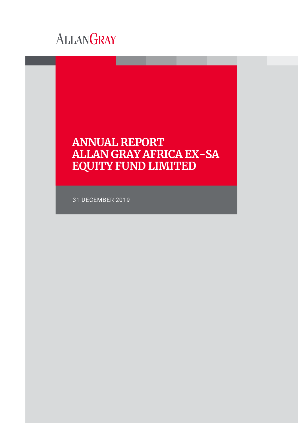

# **ANNUAL REPORT ALLAN GRAY AFRICA EX-SA EQUITY FUND LIMITED**

31 DECEMBER 2019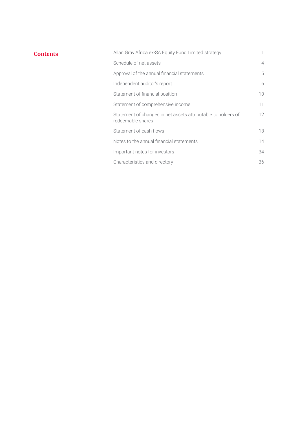# **Contents**

| Allan Gray Africa ex-SA Equity Fund Limited strategy                               | 1              |
|------------------------------------------------------------------------------------|----------------|
| Schedule of net assets                                                             | $\overline{4}$ |
| Approval of the annual financial statements                                        | 5              |
| Independent auditor's report                                                       | 6              |
| Statement of financial position                                                    | 10             |
| Statement of comprehensive income                                                  | 11             |
| Statement of changes in net assets attributable to holders of<br>redeemable shares | 12             |
| Statement of cash flows                                                            | 13             |
| Notes to the annual financial statements                                           | 14             |
| Important notes for investors                                                      | 34             |
| Characteristics and directory                                                      | 36             |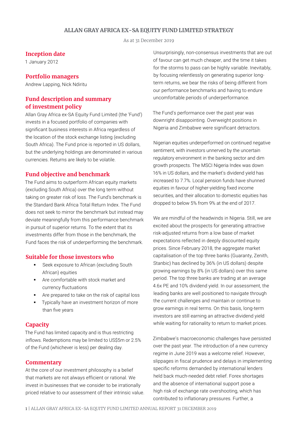# **ALLAN GRAY AFRICA EX-SA EQUITY FUND LIMITED STRATEGY**

As at 31 December 2019

#### **Inception date**

1 January 2012

#### **Portfolio managers**

Andrew Lapping, Nick Ndiritu

# **Fund description and summary of investment policy**

Allan Gray Africa ex-SA Equity Fund Limited (the 'Fund') invests in a focused portfolio of companies with significant business interests in Africa regardless of the location of the stock exchange listing (excluding South Africa). The Fund price is reported in US dollars, but the underlying holdings are denominated in various currencies. Returns are likely to be volatile.

### **Fund objective and benchmark**

The Fund aims to outperform African equity markets (excluding South Africa) over the long term without taking on greater risk of loss. The Fund's benchmark is the Standard Bank Africa Total Return Index. The Fund does not seek to mirror the benchmark but instead may deviate meaningfully from this performance benchmark in pursuit of superior returns. To the extent that its investments differ from those in the benchmark, the Fund faces the risk of underperforming the benchmark.

# **Suitable for those investors who**

- Seek exposure to African (excluding South African) equities
- Are comfortable with stock market and currency fluctuations
- Are prepared to take on the risk of capital loss
- **Typically have an investment horizon of more** than five years

# **Capacity**

The Fund has limited capacity and is thus restricting inflows. Redemptions may be limited to US\$5m or 2.5% of the Fund (whichever is less) per dealing day.

### **Commentary**

At the core of our investment philosophy is a belief that markets are not always efficient or rational. We invest in businesses that we consider to be irrationally priced relative to our assessment of their intrinsic value. Unsurprisingly, non-consensus investments that are out of favour can get much cheaper, and the time it takes for the storms to pass can be highly variable. Inevitably, by focusing relentlessly on generating superior longterm returns, we bear the risks of being different from our performance benchmarks and having to endure uncomfortable periods of underperformance.

The Fund's performance over the past year was downright disappointing. Overweight positions in Nigeria and Zimbabwe were significant detractors.

Nigerian equities underperformed on continued negative sentiment, with investors unnerved by the uncertain regulatory environment in the banking sector and dim growth prospects. The MSCI Nigeria Index was down 16% in US dollars, and the market's dividend yield has increased to 7.7%. Local pension funds have shunned equities in favour of higher-yielding fixed income securities, and their allocation to domestic equities has dropped to below 5% from 9% at the end of 2017.

We are mindful of the headwinds in Nigeria. Still, we are excited about the prospects for generating attractive risk-adjusted returns from a low base of market expectations reflected in deeply discounted equity prices. Since February 2018, the aggregate market capitalisation of the top three banks (Guaranty, Zenith, Stanbic) has declined by 36% (in US dollars) despite growing earnings by 8% (in US dollars) over this same period. The top three banks are trading at an average 4.6x PE and 10% dividend yield. In our assessment, the leading banks are well positioned to navigate through the current challenges and maintain or continue to grow earnings in real terms. On this basis, long-term investors are still earning an attractive dividend yield while waiting for rationality to return to market prices.

Zimbabwe's macroeconomic challenges have persisted over the past year. The introduction of a new currency regime in June 2019 was a welcome relief. However, slippages in fiscal prudence and delays in implementing specific reforms demanded by international lenders held back much-needed debt relief. Forex shortages and the absence of international support pose a high risk of exchange rate overshooting, which has contributed to inflationary pressures. Further, a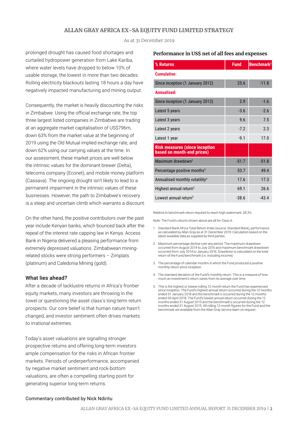# **ALLAN GRAY AFRICA EX-SA EQUITY FUND LIMITED STRATEGY**

As at 31 December 2019

prolonged drought has caused food shortages and curtailed hydropower generation from Lake Kariba, where water levels have dropped to below 10% of usable storage, the lowest in more than two decades. Rolling electricity blackouts lasting 18 hours a day have negatively impacted manufacturing and mining output.

Consequently, the market is heavily discounting the risks in Zimbabwe. Using the official exchange rate, the top three largest listed companies in Zimbabwe are trading at an aggregate market capitalisation of US\$796m, down 63% from the market value at the beginning of 2019 using the Old Mutual implied exchange rate, and down 62% using our carrying values at the time. In our assessment, these market prices are well below the intrinsic values for the dominant brewer (Delta), telecoms company (Econet), and mobile money platform (Cassava). The ongoing drought isn't likely to lead to a permanent impairment in the intrinsic values of these businesses. However, the path to Zimbabwe's recovery is a steep and uncertain climb which warrants a discount.

On the other hand, the positive contributors over the past year include Kenyan banks, which bounced back after the repeal of the interest rate capping law in Kenya. Access Bank in Nigeria delivered a pleasing performance from extremely depressed valuations. Zimbabwean miningrelated stocks were strong performers – Zimplats (platinum) and Caledonia Mining (gold).

#### What lies ahead?

After a decade of lacklustre returns in Africa's frontier equity markets, many investors are throwing in the towel or questioning the asset class's long-term return prospects. Our core belief is that human nature hasn't changed, and investor sentiment often drives markets to irrational extremes.

Today's asset valuations are signalling stronger prospective returns and offering long-term investors ample compensation for the risks in African frontier markets. Periods of underperformance, accompanied by negative market sentiment and rock-bottom valuations, are often a compelling starting point for generating superior long-term returns.

#### **Performance in US\$ net of all fees and expenses**

| % Returns                                                           | <b>Fund</b> | Benchmark <sup>1</sup> |
|---------------------------------------------------------------------|-------------|------------------------|
| <b>Cumulative:</b>                                                  |             |                        |
| Since inception (1 January 2012)                                    | 25.6        | $-11.8$                |
| Annualised:                                                         |             |                        |
| Since inception (1 January 2012)                                    | 2.9         | $-1.6$                 |
| Latest 5 years                                                      | $-3.6$      | $-2.6$                 |
| Latest 3 years                                                      | 9.6         | 7.5                    |
| Latest 2 years                                                      | $-7.2$      | 2.3                    |
| Latest 1 year                                                       | $-9.1$      | 17.0                   |
| <b>Risk measures (since inception</b><br>based on month-end prices) |             |                        |
| Maximum drawdown <sup>2</sup>                                       | $-51.7$     | $-51.8$                |
| Percentage positive months <sup>3</sup>                             | 53.7        | 49.4                   |
| Annualised monthly volatility <sup>4</sup>                          | 17.6        | 17.3                   |
| Highest annual return <sup>5</sup>                                  | 69.1        | 26.6                   |
| Lowest annual return <sup>5</sup>                                   | $-38.6$     | $-43.4$                |

Relative to benchmark return required to reach high watermark: 28.3%.

Note: The Fund's returns shown above are all for Class A.

- 1. Standard Bank Africa Total Return Index (source: Standard Bank), performance as calculated by Allan Gray as at 31 December 2019. Calculation based on the latest available data as supplied by third parties.
- 2. Maximum percentage decline over any period. The maximum drawdown occurred from August 2014 to July 2016 and maximum benchmark drawdown occurred from July 2014 to January 2016. Drawdown is calculated on the total return of the Fund/benchmark (i.e. including income).
- 3. The percentage of calendar months in which the Fund produced a positive monthly return since inception.
- 4. The standard deviation of the Fund's monthly return. This is a measure of how much an investment's return varies from its average over time.
- 5. This is the highest or lowest rolling 12-month return the Fund has experienced since inception. The Fund's highest annual return occurred during the 12 months ended 31 January 2018 and the benchmark's occurred during the 12 months ended 30 April 2018. The Fund's lowest annual return occurred during the 12 months ended 31 August 2015 and the benchmark's occurred during the 12 months ended 31 August 2015. All rolling 12-month figures for the Fund and the benchmark are available from the Allan Gray service team on request.

#### Commentary contributed by Nick Ndiritu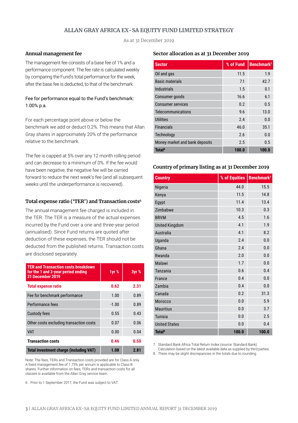# **ALLAN GRAY AFRICA EX-SA EQUITY FUND LIMITED STRATEGY**

As at 31 December 2019

### **Annual management fee**

The management fee consists of a base fee of 1% and a performance component. The fee rate is calculated weekly by comparing the Fund's total performance for the week, after the base fee is deducted, to that of the benchmark.

### Fee for performance equal to the Fund's benchmark: 1.00% p.a.

For each percentage point above or below the benchmark we add or deduct 0.2%. This means that Allan Gray shares in approximately 20% of the performance relative to the benchmark.

The fee is capped at 5% over any 12 month rolling period and can decrease to a minimum of 0%. If the fee would have been negative, the negative fee will be carried forward to reduce the next week's fee (and all subsequent weeks until the underperformance is recovered).

#### **Total expense ratio ('TER') and Transaction costs6**

The annual management fee charged is included in the TER. The TER is a measure of the actual expenses incurred by the Fund over a one and three-year period (annualised). Since Fund returns are quoted after deduction of these expenses, the TER should not be deducted from the published returns. Transaction costs are disclosed separately.

| <b>TER and Transaction costs breakdown</b><br>for the 1 and 3-year period ending<br><b>31 December 2019</b> | 1yr %   | 3yr % |
|-------------------------------------------------------------------------------------------------------------|---------|-------|
| <b>Total expense ratio</b>                                                                                  | 0.62    | 2.31  |
| Fee for benchmark performance                                                                               | 1.00    | 0.89  |
| Performance fees                                                                                            | $-1.00$ | 0.89  |
| <b>Custody fees</b>                                                                                         | 0.55    | 0.43  |
| Other costs excluding transaction costs                                                                     | 0.07    | 0.06  |
| <b>VAT</b>                                                                                                  | 0.00    | 0.04  |
| <b>Transaction costs</b>                                                                                    | 0.46    | 0.50  |
| <b>Total investment charge (including VAT)</b>                                                              | 1.08    | 2.81  |

Note: The fees, TERs and Transaction costs provided are for Class A only. A fixed management fee of 1.75% per annum is applicable to Class B shares. Further information on fees, TERs and transaction costs for all classes is available from the Allan Gray service team.

6. Prior to 1 September 2017, the Fund was subject to VAT.

### **Sector allocation as at 31 December 2019**

| <b>Sector</b>                  | % of Fund | Benchmark <sup>7</sup> |
|--------------------------------|-----------|------------------------|
| Oil and gas                    | 11.5      | 1.9                    |
| <b>Basic materials</b>         | 7.1       | 42.7                   |
| Industrials                    | 1.5       | 0.1                    |
| Consumer goods                 | 16.6      | 6.1                    |
| <b>Consumer services</b>       | 0.2       | 0.5                    |
| Telecommunications             | 9.6       | 13.0                   |
| <b>Utilities</b>               | 2.4       | 0.0                    |
| <b>Financials</b>              | 46.0      | 35.1                   |
| Technology                     | 2.6       | 0.0                    |
| Money market and bank deposits | 2.5       | 0.5                    |
| <b>Total</b> <sup>8</sup>      | 100.0     | 100.0                  |

#### **Country of primary listing as at 31 December 2019**

| <b>Country</b>            | % of Equities | Benchmark <sup>7</sup> |
|---------------------------|---------------|------------------------|
| Nigeria                   | 44.0          | 15.5                   |
| Kenya                     | 11.5          | 14.8                   |
| Egypt                     | 11.4          | 13.4                   |
| Zimbabwe                  | 10.3          | 0.3                    |
| <b>BRVM</b>               | 4.5           | 1.6                    |
| <b>United Kingdom</b>     | 4.1           | 1.9                    |
| <b>Australia</b>          | 4.1           | 8.2                    |
| Uganda                    | 2.4           | 0.0                    |
| Ghana                     | 2.4           | 0.0                    |
| Rwanda                    | 2.0           | 0.0                    |
| Malawi                    | 1.7           | 0.0                    |
| <b>Tanzania</b>           | 0.6           | 0.4                    |
| France                    | 0.4           | 0.0                    |
| Zambia                    | 0.4           | 0.0                    |
| Canada                    | 0.2           | 31.3                   |
| Morocco                   | 0.0           | 5.9                    |
| <b>Mauritius</b>          | 0.0           | 3.7                    |
| <b>Tunisia</b>            | 0.0           | 2.5                    |
| <b>United States</b>      | 0.0           | 0.4                    |
| <b>Total</b> <sup>8</sup> | 100.0         | 100.0                  |

7. Standard Bank Africa Total Return Index (source: Standard Bank). Calculation based on the latest available data as supplied by third parties.

8. There may be slight discrepancies in the totals due to rounding.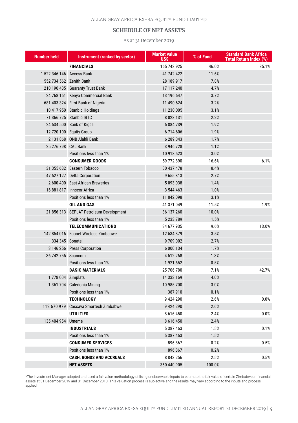#### ALLAN GRAY AFRICA EX-SA EQUITY FUND LIMITED

# **SCHEDULE OF NET ASSETS**

#### As at 31 December 2019

| <b>Number held</b>        | Instrument (ranked by sector)           | <b>Market value</b><br><b>USS</b> | % of Fund | <b>Standard Bank Africa</b><br><b>Total Return Index (%)</b> |
|---------------------------|-----------------------------------------|-----------------------------------|-----------|--------------------------------------------------------------|
|                           | <b>FINANCIALS</b>                       | 165 743 925                       | 46.0%     | 35.1%                                                        |
| 1 522 346 146 Access Bank |                                         | 41 742 422                        | 11.6%     |                                                              |
| 552 734 562 Zenith Bank   |                                         | 28 189 917                        | 7.8%      |                                                              |
|                           | 210 190 485 Guaranty Trust Bank         | 17 117 240                        | 4.7%      |                                                              |
|                           | 24 768 151 Kenya Commercial Bank        | 13 196 647                        | 3.7%      |                                                              |
|                           | 681 403 324 First Bank of Nigeria       | 11 490 624                        | 3.2%      |                                                              |
|                           | 10 417 950 Stanbic Holdings             | 11 230 005                        | 3.1%      |                                                              |
|                           | 71 366 725 Stanbic IBTC                 | 8 0 23 1 31                       | 2.2%      |                                                              |
|                           | 24 634 500 Bank of Kigali               | 6884739                           | 1.9%      |                                                              |
|                           | 12 720 100 Equity Group                 | 6714606                           | 1.9%      |                                                              |
|                           | 2 131 868 QNB Alahli Bank               | 6 289 343                         | 1.7%      |                                                              |
| 25 276 798 CAL Bank       |                                         | 3 946 728                         | 1.1%      |                                                              |
|                           | Positions less than 1%                  | 10 918 523                        | 3.0%      |                                                              |
|                           | <b>CONSUMER GOODS</b>                   | 59 772 890                        | 16.6%     | 6.1%                                                         |
|                           | 31 355 682 Eastern Tobacco              | 30 437 478                        | 8.4%      |                                                              |
|                           | 47 627 127 Delta Corporation            | 9655813                           | 2.7%      |                                                              |
|                           | 2 600 400 East African Breweries        | 5093038                           | 1.4%      |                                                              |
|                           | 16 881 817 Innscor Africa               | 3 544 463                         | 1.0%      |                                                              |
|                           | Positions less than 1%                  | 11 042 098                        | 3.1%      |                                                              |
|                           | OIL AND GAS                             | 41 371 049                        | 11.5%     | 1.9%                                                         |
|                           | 21 856 313 SEPLAT Petroleum Development | 36 137 260                        | 10.0%     |                                                              |
|                           | Positions less than 1%                  | 5 233 789                         | 1.5%      |                                                              |
|                           | <b>TELECOMMUNICATIONS</b>               | 34 677 935                        | 9.6%      | 13.0%                                                        |
|                           | 142 854 016 Econet Wireless Zimbabwe    | 12 534 879                        | 3.5%      |                                                              |
| 334 345 Sonatel           |                                         | 9709002                           | 2.7%      |                                                              |
|                           | 3 146 256 Press Corporation             | 6 000 134                         | 1.7%      |                                                              |
| 36 742 755 Scancom        |                                         | 4 512 268                         | 1.3%      |                                                              |
|                           | Positions less than 1%                  | 1921652                           | 0.5%      |                                                              |
|                           | <b>BASIC MATERIALS</b>                  | 25 706 780                        | 7.1%      | 42.7%                                                        |
| 1 778 004 Zimplats        |                                         | 14 333 169                        | 4.0%      |                                                              |
|                           | 1 361 704 Caledonia Mining              | 10 985 700                        | 3.0%      |                                                              |
|                           | Positions less than 1%                  | 387 910                           | 0.1%      |                                                              |
|                           | <b>TECHNOLOGY</b>                       | 9 424 290                         | 2.6%      | 0.0%                                                         |
|                           | 112 670 979 Cassava Smartech Zimbabwe   | 9 424 290                         | 2.6%      |                                                              |
|                           | UTILITIES                               | 8 6 1 6 4 5 0                     | 2.4%      | 0.0%                                                         |
| 135 404 954 Umeme         |                                         | 8 6 1 6 4 5 0                     | 2.4%      |                                                              |
|                           | INDUSTRIALS                             | 5 387 463                         | 1.5%      | 0.1%                                                         |
|                           | Positions less than 1%                  | 5 387 463                         | 1.5%      |                                                              |
|                           | <b>CONSUMER SERVICES</b>                | 896 867                           | 0.2%      | 0.5%                                                         |
|                           | Positions less than 1%                  | 896 867                           | 0.2%      |                                                              |
|                           | <b>CASH, BONDS AND ACCRUALS</b>         | 8 843 256                         | 2.5%      | 0.5%                                                         |
|                           | <b>NET ASSETS</b>                       | 360 440 905                       | 100.0%    |                                                              |

\*The Investment Manager adopted and used a fair value methodology utilising unobservable inputs to estimate the fair value of certain Zimbabwean financial assets at 31 December 2019 and 31 December 2018. This valuation process is subjective and the results may vary according to the inputs and process applied.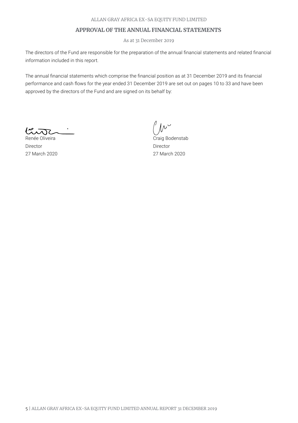# **APPROVAL OF THE ANNUAL FINANCIAL STATEMENTS**

As at 31 December 2019

The directors of the Fund are responsible for the preparation of the annual financial statements and related financial information included in this report.

The annual financial statements which comprise the financial position as at 31 December 2019 and its financial performance and cash flows for the year ended 31 December 2019 are set out on pages 10 to 33 and have been approved by the directors of the Fund and are signed on its behalf by:

 $\sqrt{100}$ جيبى

Renée Oliveira Director 27 March 2020

 $\mu^{\vee}$ 

Craig Bodenstab Director 27 March 2020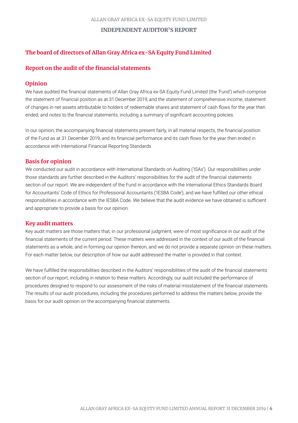# **INDEPENDENT AUDITOR'S REPORT**

# **The board of directors of Allan Gray Africa ex-SA Equity Fund Limited**

# **Report on the audit of the financial statements**

### **Opinion**

We have audited the financial statements of Allan Gray Africa ex-SA Equity Fund Limited (the 'Fund') which comprise the statement of financial position as at 31 December 2019, and the statement of comprehensive income, statement of changes in net assets attributable to holders of redeemable shares and statement of cash flows for the year then ended, and notes to the financial statements, including a summary of significant accounting policies.

In our opinion, the accompanying financial statements present fairly, in all material respects, the financial position of the Fund as at 31 December 2019, and its financial performance and its cash flows for the year then ended in accordance with International Financial Reporting Standards

# **Basis for opinion**

We conducted our audit in accordance with International Standards on Auditing ('ISAs'). Our responsibilities under those standards are further described in the Auditors' responsibilities for the audit of the financial statements section of our report. We are independent of the Fund in accordance with the International Ethics Standards Board for Accountants' Code of Ethics for Professional Accountants ('IESBA Code'), and we have fulfilled our other ethical responsibilities in accordance with the IESBA Code. We believe that the audit evidence we have obtained is sufficient and appropriate to provide a basis for our opinion.

# **Key audit matters**

Key audit matters are those matters that, in our professional judgment, were of most significance in our audit of the financial statements of the current period. These matters were addressed in the context of our audit of the financial statements as a whole, and in forming our opinion thereon, and we do not provide a separate opinion on these matters. For each matter below, our description of how our audit addressed the matter is provided in that context.

We have fulfilled the responsibilities described in the Auditors' responsibilities of the audit of the financial statements section of our report, including in relation to these matters. Accordingly, our audit included the performance of procedures designed to respond to our assessment of the risks of material misstatement of the financial statements. The results of our audit procedures, including the procedures performed to address the matters below, provide the basis for our audit opinion on the accompanying financial statements.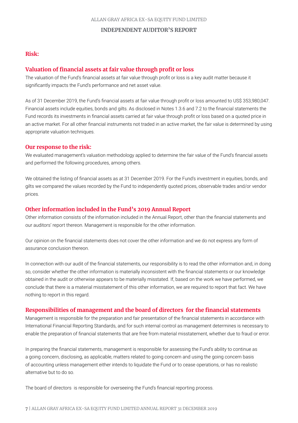### **INDEPENDENT AUDITOR'S REPORT**

# **Risk:**

# **Valuation of financial assets at fair value through profit or loss**

The valuation of the Fund's financial assets at fair value through profit or loss is a key audit matter because it significantly impacts the Fund's performance and net asset value.

As of 31 December 2019, the Fund's financial assets at fair value through profit or loss amounted to US\$ 353,980,047. Financial assets include equities, bonds and gilts. As disclosed in Notes 1.3.6 and 7.2 to the financial statements the Fund records its investments in financial assets carried at fair value through profit or loss based on a quoted price in an active market. For all other financial instruments not traded in an active market, the fair value is determined by using appropriate valuation techniques.

### **Our response to the risk:**

We evaluated management's valuation methodology applied to determine the fair value of the Fund's financial assets and performed the following procedures, among others.

We obtained the listing of financial assets as at 31 December 2019. For the Fund's investment in equities, bonds, and gilts we compared the values recorded by the Fund to independently quoted prices, observable trades and/or vendor prices.

# **Other information included in the Fund's 2019 Annual Report**

Other information consists of the information included in the Annual Report, other than the financial statements and our auditors' report thereon. Management is responsible for the other information.

Our opinion on the financial statements does not cover the other information and we do not express any form of assurance conclusion thereon.

In connection with our audit of the financial statements, our responsibility is to read the other information and, in doing so, consider whether the other information is materially inconsistent with the financial statements or our knowledge obtained in the audit or otherwise appears to be materially misstated. If, based on the work we have performed, we conclude that there is a material misstatement of this other information, we are required to report that fact. We have nothing to report in this regard.

### **Responsibilities of management and the board of directors for the financial statements**

Management is responsible for the preparation and fair presentation of the financial statements in accordance with International Financial Reporting Standards, and for such internal control as management determines is necessary to enable the preparation of financial statements that are free from material misstatement, whether due to fraud or error.

In preparing the financial statements, management is responsible for assessing the Fund's ability to continue as a going concern, disclosing, as applicable, matters related to going concern and using the going concern basis of accounting unless management either intends to liquidate the Fund or to cease operations, or has no realistic alternative but to do so.

The board of directors is responsible for overseeing the Fund's financial reporting process.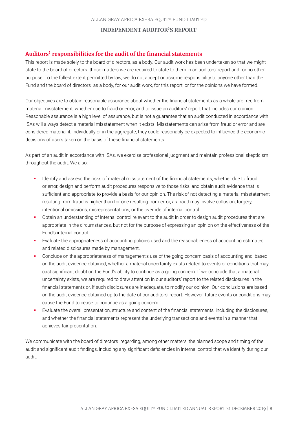# **INDEPENDENT AUDITOR'S REPORT**

# **Auditors' responsibilities for the audit of the financial statements**

This report is made solely to the board of directors, as a body. Our audit work has been undertaken so that we might state to the board of directors those matters we are required to state to them in an auditors' report and for no other purpose. To the fullest extent permitted by law, we do not accept or assume responsibility to anyone other than the Fund and the board of directors as a body, for our audit work, for this report, or for the opinions we have formed.

Our objectives are to obtain reasonable assurance about whether the financial statements as a whole are free from material misstatement, whether due to fraud or error, and to issue an auditors' report that includes our opinion. Reasonable assurance is a high level of assurance, but is not a guarantee that an audit conducted in accordance with ISAs will always detect a material misstatement when it exists. Misstatements can arise from fraud or error and are considered material if, individually or in the aggregate, they could reasonably be expected to influence the economic decisions of users taken on the basis of these financial statements.

As part of an audit in accordance with ISAs, we exercise professional judgment and maintain professional skepticism throughout the audit. We also:

- **IDENTIFY And assess the risks of material misstatement of the financial statements, whether due to fraud in the statement of the financial statements**, whether due to fraud or error, design and perform audit procedures responsive to those risks, and obtain audit evidence that is sufficient and appropriate to provide a basis for our opinion. The risk of not detecting a material misstatement resulting from fraud is higher than for one resulting from error, as fraud may involve collusion, forgery, intentional omissions, misrepresentations, or the override of internal control.
- Obtain an understanding of internal control relevant to the audit in order to design audit procedures that are appropriate in the circumstances, but not for the purpose of expressing an opinion on the effectiveness of the Fund's internal control.
- Evaluate the appropriateness of accounting policies used and the reasonableness of accounting estimates and related disclosures made by management.
- Conclude on the appropriateness of management's use of the going concern basis of accounting and, based on the audit evidence obtained, whether a material uncertainty exists related to events or conditions that may cast significant doubt on the Fund's ability to continue as a going concern. If we conclude that a material uncertainty exists, we are required to draw attention in our auditors' report to the related disclosures in the financial statements or, if such disclosures are inadequate, to modify our opinion. Our conclusions are based on the audit evidence obtained up to the date of our auditors' report. However, future events or conditions may cause the Fund to cease to continue as a going concern.
- Evaluate the overall presentation, structure and content of the financial statements, including the disclosures, and whether the financial statements represent the underlying transactions and events in a manner that achieves fair presentation.

We communicate with the board of directors regarding, among other matters, the planned scope and timing of the audit and significant audit findings, including any significant deficiencies in internal control that we identify during our audit.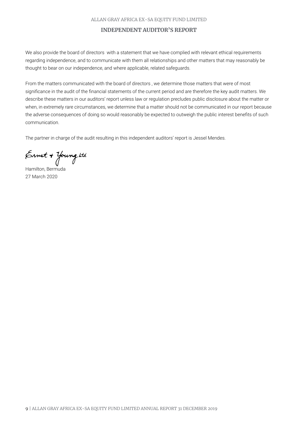#### ALLAN GRAY AFRICA EX-SA EQUITY FUND LIMITED

# **INDEPENDENT AUDITOR'S REPORT**

We also provide the board of directors with a statement that we have complied with relevant ethical requirements regarding independence, and to communicate with them all relationships and other matters that may reasonably be thought to bear on our independence, and where applicable, related safeguards.

From the matters communicated with the board of directors , we determine those matters that were of most significance in the audit of the financial statements of the current period and are therefore the key audit matters. We describe these matters in our auditors' report unless law or regulation precludes public disclosure about the matter or when, in extremely rare circumstances, we determine that a matter should not be communicated in our report because the adverse consequences of doing so would reasonably be expected to outweigh the public interest benefits of such communication.

The partner in charge of the audit resulting in this independent auditors' report is Jessel Mendes.

Ernst + Young ttd

Hamilton, Bermuda 27 March 2020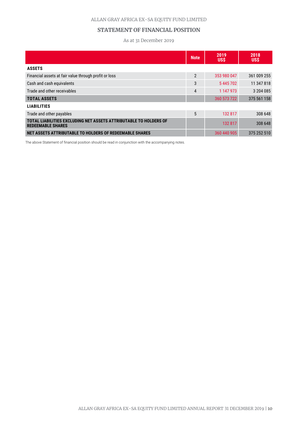# **STATEMENT OF FINANCIAL POSITION**

As at 31 December 2019

|                                                                                               | <b>Note</b>    | 2019<br><b>US\$</b> | 2018<br><b>US\$</b> |
|-----------------------------------------------------------------------------------------------|----------------|---------------------|---------------------|
| <b>ASSETS</b>                                                                                 |                |                     |                     |
| Financial assets at fair value through profit or loss                                         | $\overline{2}$ | 353 980 047         | 361 009 255         |
| Cash and cash equivalents                                                                     | 3              | 5445702             | 11 347 818          |
| Trade and other receivables                                                                   | 4              | 1 147 973           | 3 204 085           |
| <b>TOTAL ASSETS</b>                                                                           |                | 360 573 722         | 375 561 158         |
| <b>LIABILITIES</b>                                                                            |                |                     |                     |
| Trade and other payables                                                                      | 5              | 132 817             | 308 648             |
| TOTAL LIABILITIES EXCLUDING NET ASSETS ATTRIBUTABLE TO HOLDERS OF<br><b>REDEEMABLE SHARES</b> |                | 132 817             | 308 648             |
| NET ASSETS ATTRIBUTABLE TO HOLDERS OF REDEEMABLE SHARES                                       |                | 360 440 905         | 375 252 510         |

The above Statement of financial position should be read in conjunction with the accompanying notes.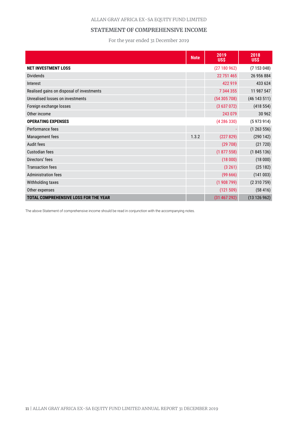### ALLAN GRAY AFRICA EX-SA EQUITY FUND LIMITED

# **STATEMENT OF COMPREHENSIVE INCOME**

For the year ended 31 December 2019

|                                           | <b>Note</b> | 2019<br><b>US\$</b> | 2018<br><b>USS</b> |
|-------------------------------------------|-------------|---------------------|--------------------|
| <b>NET INVESTMENT LOSS</b>                |             | (27180962)          | (7153048)          |
| <b>Dividends</b>                          |             | 22 751 465          | 26 956 884         |
| Interest                                  |             | 422 919             | 433 624            |
| Realised gains on disposal of investments |             | 7 344 355           | 11 987 547         |
| Unrealised losses on investments          |             | (54305708)          | (46143511)         |
| Foreign exchange losses                   |             | (3637072)           | (418554)           |
| Other income                              |             | 243 079             | 30 962             |
| <b>OPERATING EXPENSES</b>                 |             | (4286330)           | (5973914)          |
| Performance fees                          |             |                     | (1263556)          |
| Management fees                           | 1.3.2       | (227829)            | (290142)           |
| <b>Audit fees</b>                         |             | (29708)             | (21 720)           |
| <b>Custodian fees</b>                     |             | (1877558)           | (1845136)          |
| Directors' fees                           |             | (18000)             | (18000)            |
| <b>Transaction fees</b>                   |             | (3 261)             | (25182)            |
| <b>Administration fees</b>                |             | (9966)              | (141003)           |
| Withholding taxes                         |             | (1908799)           | (2310759)          |
| Other expenses                            |             | (121 509)           | (58416)            |
| TOTAL COMPREHENSIVE LOSS FOR THE YEAR     |             | (31 467 292)        | (13126962)         |

The above Statement of comprehensive income should be read in conjunction with the accompanying notes.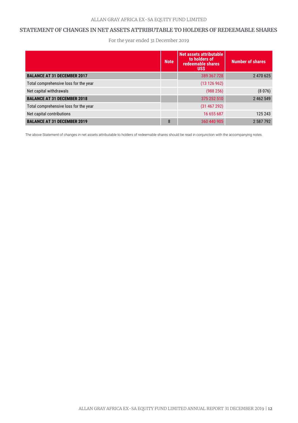### **STATEMENT OF CHANGES IN NET ASSETS ATTRIBUTABLE TO HOLDERS OF REDEEMABLE SHARES**

For the year ended 31 December 2019

|                                       | <b>Note</b> | Net assets attributable<br>to holders of<br>redeemable shares<br><b>USS</b> | <b>Number of shares</b> |
|---------------------------------------|-------------|-----------------------------------------------------------------------------|-------------------------|
| <b>BALANCE AT 31 DECEMBER 2017</b>    |             | 389 367 728                                                                 | 2 470 625               |
| Total comprehensive loss for the year |             | (13126962)                                                                  |                         |
| Net capital withdrawals               |             | (988 256)                                                                   | (8076)                  |
| <b>BALANCE AT 31 DECEMBER 2018</b>    |             | 375 252 510                                                                 | 2 462 549               |
| Total comprehensive loss for the year |             | (31 467 292)                                                                |                         |
| Net capital contributions             |             | 16 655 687                                                                  | 125 243                 |
| <b>BALANCE AT 31 DECEMBER 2019</b>    | 8           | 360 440 905                                                                 | 2587792                 |

The above Statement of changes in net assets attributable to holders of redeemable shares should be read in conjunction with the accompanying notes.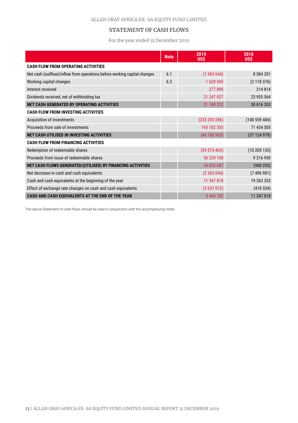# **STATEMENT OF CASH FLOWS**

For the year ended 31 December 2019

|                                                                          | <b>Note</b> | 2019<br><b>US\$</b> | 2018<br><b>US\$</b> |
|--------------------------------------------------------------------------|-------------|---------------------|---------------------|
| <b>CASH FLOW FROM OPERATING ACTIVITIES</b>                               |             |                     |                     |
| Net cash (outflow)/inflow from operations before working capital changes | 6.1         | (1965644)           | 8 5 8 4 2 0 1       |
| Working capital changes                                                  | 6.2         | 1620949             | (2118376)           |
| Interest received                                                        |             | 277 890             | 214 814             |
| Dividends received, net of withholding tax                               |             | 21 247 027          | 23 935 564          |
| NET CASH GENERATED BY OPERATING ACTIVITIES                               |             | 21 180 222          | 30 616 203          |
| <b>CASH FLOW FROM INVESTING ACTIVITIES</b>                               |             |                     |                     |
| Acquisition of investments                                               |             | (233 203 286)       | (108559484)         |
| Proceeds from sale of investments                                        |             | 193 102 333         | 71 434 505          |
| NET CASH UTILISED IN INVESTING ACTIVITIES                                |             | (40100953)          | (37124979)          |
| <b>CASH FLOW FROM FINANCING ACTIVITIES</b>                               |             |                     |                     |
| Redemption of redeemable shares                                          |             | (39 573 463)        | (10205155)          |
| Proceeds from issue of redeemable shares                                 |             | 56 229 150          | 9 216 950           |
| NET CASH FLOWS GENERATED/(UTILISED) BY FINANCING ACTIVITIES              |             | 16 655 687          | (988 205)           |
| Net decrease in cash and cash equivalents                                |             | (2 265 044)         | (7496981)           |
| Cash and cash equivalents at the beginning of the year                   |             | 11 347 818          | 19 263 353          |
| Effect of exchange rate changes on cash and cash equivalents             |             | (3637072)           | (418554)            |
| CASH AND CASH EQUIVALENTS AT THE END OF THE YEAR                         |             | 5445702             | 11 347 818          |

The above Statement of cash flows should be read in conjunction with the accompanying notes.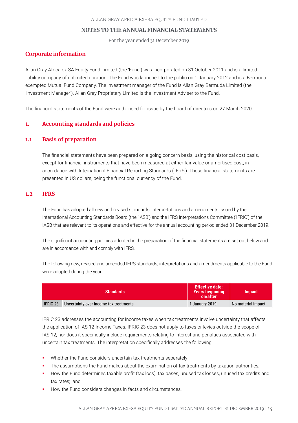For the year ended 31 December 2019

# **Corporate information**

Allan Gray Africa ex-SA Equity Fund Limited (the 'Fund') was incorporated on 31 October 2011 and is a limited liability company of unlimited duration. The Fund was launched to the public on 1 January 2012 and is a Bermuda exempted Mutual Fund Company. The investment manager of the Fund is Allan Gray Bermuda Limited (the 'Investment Manager'). Allan Gray Proprietary Limited is the Investment Adviser to the Fund.

The financial statements of the Fund were authorised for issue by the board of directors on 27 March 2020.

# **1. Accounting standards and policies**

# **1.1 Basis of preparation**

The financial statements have been prepared on a going concern basis, using the historical cost basis, except for financial instruments that have been measured at either fair value or amortised cost, in accordance with International Financial Reporting Standards ('IFRS'). These financial statements are presented in US dollars, being the functional currency of the Fund.

# **1.2 IFRS**

The Fund has adopted all new and revised standards, interpretations and amendments issued by the International Accounting Standards Board (the 'IASB') and the IFRS Interpretations Committee ('IFRIC') of the IASB that are relevant to its operations and effective for the annual accounting period ended 31 December 2019.

The significant accounting policies adopted in the preparation of the financial statements are set out below and are in accordance with and comply with IFRS.

The following new, revised and amended IFRS standards, interpretations and amendments applicable to the Fund were adopted during the year.

|                 | <b>Standards</b>                       | <b>Effective date:</b><br><b>Years beginning</b><br>on/after | <b>Impact</b>      |
|-----------------|----------------------------------------|--------------------------------------------------------------|--------------------|
| <b>IFRIC 23</b> | Uncertainty over income tax treatments | 1 January 2019                                               | No material impact |

IFRIC 23 addresses the accounting for income taxes when tax treatments involve uncertainty that affects the application of IAS 12 Income Taxes. IFRIC 23 does not apply to taxes or levies outside the scope of IAS 12, nor does it specifically include requirements relating to interest and penalties associated with uncertain tax treatments. The interpretation specifically addresses the following:

- Whether the Fund considers uncertain tax treatments separately;
- The assumptions the Fund makes about the examination of tax treatments by taxation authorities;
- How the Fund determines taxable profit (tax loss), tax bases, unused tax losses, unused tax credits and tax rates; and
- How the Fund considers changes in facts and circumstances.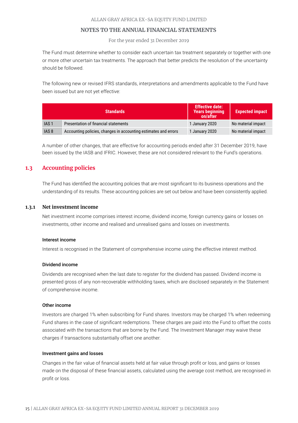For the year ended 31 December 2019

The Fund must determine whether to consider each uncertain tax treatment separately or together with one or more other uncertain tax treatments. The approach that better predicts the resolution of the uncertainty should be followed.

The following new or revised IFRS standards, interpretations and amendments applicable to the Fund have been issued but are not yet effective:

|                  | <b>Standards</b>                                                | <b>Effective date:</b><br><b>Years beginning</b><br>on/after | <b>Expected impact</b> |
|------------------|-----------------------------------------------------------------|--------------------------------------------------------------|------------------------|
| IAS <sub>1</sub> | Presentation of financial statements                            | 1 January 2020                                               | No material impact     |
| IAS <sub>8</sub> | Accounting policies, changes in accounting estimates and errors | 1 January 2020                                               | No material impact     |

A number of other changes, that are effective for accounting periods ended after 31 December 2019, have been issued by the IASB and IFRIC. However, these are not considered relevant to the Fund's operations.

# **1.3 Accounting policies**

The Fund has identified the accounting policies that are most significant to its business operations and the understanding of its results. These accounting policies are set out below and have been consistently applied.

### **1.3.1 Net investment income**

Net investment income comprises interest income, dividend income, foreign currency gains or losses on investments, other income and realised and unrealised gains and losses on investments.

#### Interest income

Interest is recognised in the Statement of comprehensive income using the effective interest method.

#### Dividend income

Dividends are recognised when the last date to register for the dividend has passed. Dividend income is presented gross of any non-recoverable withholding taxes, which are disclosed separately in the Statement of comprehensive income.

#### Other income

Investors are charged 1% when subscribing for Fund shares. Investors may be charged 1% when redeeming Fund shares in the case of significant redemptions. These charges are paid into the Fund to offset the costs associated with the transactions that are borne by the Fund. The Investment Manager may waive these charges if transactions substantially offset one another.

#### Investment gains and losses

Changes in the fair value of financial assets held at fair value through profit or loss, and gains or losses made on the disposal of these financial assets, calculated using the average cost method, are recognised in profit or loss.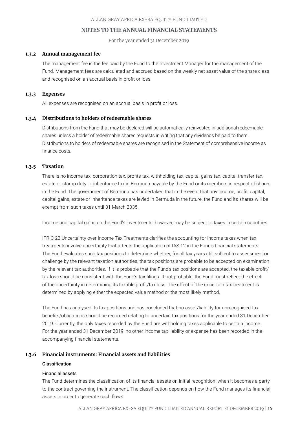For the year ended 31 December 2019

### **1.3.2 Annual management fee**

The management fee is the fee paid by the Fund to the Investment Manager for the management of the Fund. Management fees are calculated and accrued based on the weekly net asset value of the share class and recognised on an accrual basis in profit or loss.

#### **1.3.3 Expenses**

All expenses are recognised on an accrual basis in profit or loss.

#### **1.3.4 Distributions to holders of redeemable shares**

Distributions from the Fund that may be declared will be automatically reinvested in additional redeemable shares unless a holder of redeemable shares requests in writing that any dividends be paid to them. Distributions to holders of redeemable shares are recognised in the Statement of comprehensive income as finance costs.

# **1.3.5 Taxation**

There is no income tax, corporation tax, profits tax, withholding tax, capital gains tax, capital transfer tax, estate or stamp duty or inheritance tax in Bermuda payable by the Fund or its members in respect of shares in the Fund. The government of Bermuda has undertaken that in the event that any income, profit, capital, capital gains, estate or inheritance taxes are levied in Bermuda in the future, the Fund and its shares will be exempt from such taxes until 31 March 2035.

Income and capital gains on the Fund's investments, however, may be subject to taxes in certain countries.

IFRIC 23 Uncertainty over Income Tax Treatments clarifies the accounting for income taxes when tax treatments involve uncertainty that affects the application of IAS 12 in the Fund's financial statements. The Fund evaluates such tax positions to determine whether, for all tax years still subject to assessment or challenge by the relevant taxation authorities, the tax positions are probable to be accepted on examination by the relevant tax authorities. If it is probable that the Fund's tax positions are accepted, the taxable profit/ tax loss should be consistent with the Fund's tax filings. If not probable, the Fund must reflect the effect of the uncertainty in determining its taxable profit/tax loss. The effect of the uncertain tax treatment is determined by applying either the expected value method or the most likely method.

The Fund has analysed its tax positions and has concluded that no asset/liability for unrecognised tax benefits/obligations should be recorded relating to uncertain tax positions for the year ended 31 December 2019. Currently, the only taxes recorded by the Fund are withholding taxes applicable to certain income. For the year ended 31 December 2019, no other income tax liability or expense has been recorded in the accompanying financial statements.

# **1.3.6 Financial instruments: Financial assets and liabilities**

### Classification

#### Financial assets

The Fund determines the classification of its financial assets on initial recognition, when it becomes a party to the contract governing the instrument. The classification depends on how the Fund manages its financial assets in order to generate cash flows.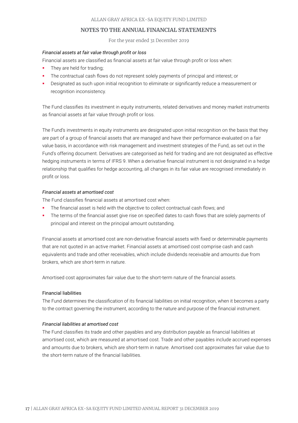For the year ended 31 December 2019

# *Financial assets at fair value through profit or loss*

Financial assets are classified as financial assets at fair value through profit or loss when:

- They are held for trading;
- The contractual cash flows do not represent solely payments of principal and interest; or
- Designated as such upon initial recognition to eliminate or significantly reduce a measurement or recognition inconsistency.

The Fund classifies its investment in equity instruments, related derivatives and money market instruments as financial assets at fair value through profit or loss.

The Fund's investments in equity instruments are designated upon initial recognition on the basis that they are part of a group of financial assets that are managed and have their performance evaluated on a fair value basis, in accordance with risk management and investment strategies of the Fund, as set out in the Fund's offering document. Derivatives are categorised as held for trading and are not designated as effective hedging instruments in terms of IFRS 9. When a derivative financial instrument is not designated in a hedge relationship that qualifies for hedge accounting, all changes in its fair value are recognised immediately in profit or loss.

### *Financial assets at amortised cost*

The Fund classifies financial assets at amortised cost when:

- The financial asset is held with the objective to collect contractual cash flows; and
- The terms of the financial asset give rise on specified dates to cash flows that are solely payments of principal and interest on the principal amount outstanding.

Financial assets at amortised cost are non-derivative financial assets with fixed or determinable payments that are not quoted in an active market. Financial assets at amortised cost comprise cash and cash equivalents and trade and other receivables, which include dividends receivable and amounts due from brokers, which are short-term in nature.

Amortised cost approximates fair value due to the short-term nature of the financial assets.

### Financial liabilities

The Fund determines the classification of its financial liabilities on initial recognition, when it becomes a party to the contract governing the instrument, according to the nature and purpose of the financial instrument.

#### *Financial liabilities at amortised cost*

The Fund classifies its trade and other payables and any distribution payable as financial liabilities at amortised cost, which are measured at amortised cost. Trade and other payables include accrued expenses and amounts due to brokers, which are short-term in nature. Amortised cost approximates fair value due to the short-term nature of the financial liabilities.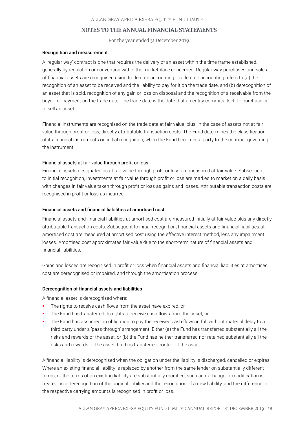For the year ended 31 December 2019

#### Recognition and measurement

A 'regular way' contract is one that requires the delivery of an asset within the time frame established, generally by regulation or convention within the marketplace concerned. Regular way purchases and sales of financial assets are recognised using trade date accounting. Trade date accounting refers to (a) the recognition of an asset to be received and the liability to pay for it on the trade date, and (b) derecognition of an asset that is sold, recognition of any gain or loss on disposal and the recognition of a receivable from the buyer for payment on the trade date. The trade date is the date that an entity commits itself to purchase or to sell an asset.

Financial instruments are recognised on the trade date at fair value, plus, in the case of assets not at fair value through profit or loss, directly attributable transaction costs. The Fund determines the classification of its financial instruments on initial recognition, when the Fund becomes a party to the contract governing the instrument.

#### Financial assets at fair value through profit or loss

Financial assets designated as at fair value through profit or loss are measured at fair value. Subsequent to initial recognition, investments at fair value through profit or loss are marked to market on a daily basis with changes in fair value taken through profit or loss as gains and losses. Attributable transaction costs are recognised in profit or loss as incurred.

#### Financial assets and financial liabilities at amortised cost

Financial assets and financial liabilities at amortised cost are measured initially at fair value plus any directly attributable transaction costs. Subsequent to initial recognition, financial assets and financial liabilities at amortised cost are measured at amortised cost using the effective interest method, less any impairment losses. Amortised cost approximates fair value due to the short-term nature of financial assets and financial liabilities.

Gains and losses are recognised in profit or loss when financial assets and financial liabilities at amortised cost are derecognised or impaired, and through the amortisation process.

#### Derecognition of financial assets and liabilities

A financial asset is derecognised where:

- The rights to receive cash flows from the asset have expired, or
- The Fund has transferred its rights to receive cash flows from the asset, or
- The Fund has assumed an obligation to pay the received cash flows in full without material delay to a third party under a 'pass-through' arrangement. Either (a) the Fund has transferred substantially all the risks and rewards of the asset, or (b) the Fund has neither transferred nor retained substantially all the risks and rewards of the asset, but has transferred control of the asset.

A financial liability is derecognised when the obligation under the liability is discharged, cancelled or expires. Where an existing financial liability is replaced by another from the same lender on substantially different terms, or the terms of an existing liability are substantially modified, such an exchange or modification is treated as a derecognition of the original liability and the recognition of a new liability, and the difference in the respective carrying amounts is recognised in profit or loss.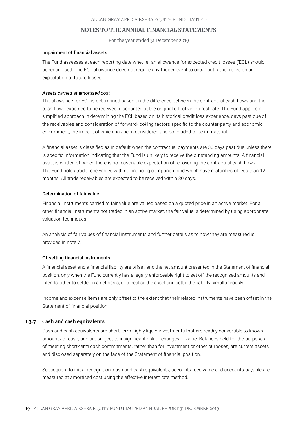For the year ended 31 December 2019

### Impairment of financial assets

The Fund assesses at each reporting date whether an allowance for expected credit losses ('ECL') should be recognised. The ECL allowance does not require any trigger event to occur but rather relies on an expectation of future losses.

### *Assets carried at amortised cost*

The allowance for ECL is determined based on the difference between the contractual cash flows and the cash flows expected to be received, discounted at the original effective interest rate. The Fund applies a simplified approach in determining the ECL based on its historical credit loss experience, days past due of the receivables and consideration of forward-looking factors specific to the counter-party and economic environment, the impact of which has been considered and concluded to be immaterial.

A financial asset is classified as in default when the contractual payments are 30 days past due unless there is specific information indicating that the Fund is unlikely to receive the outstanding amounts. A financial asset is written off when there is no reasonable expectation of recovering the contractual cash flows. The Fund holds trade receivables with no financing component and which have maturities of less than 12 months. All trade receivables are expected to be received within 30 days.

### Determination of fair value

Financial instruments carried at fair value are valued based on a quoted price in an active market. For all other financial instruments not traded in an active market, the fair value is determined by using appropriate valuation techniques.

An analysis of fair values of financial instruments and further details as to how they are measured is provided in note 7.

### Offsetting financial instruments

A financial asset and a financial liability are offset, and the net amount presented in the Statement of financial position, only when the Fund currently has a legally enforceable right to set off the recognised amounts and intends either to settle on a net basis, or to realise the asset and settle the liability simultaneously.

Income and expense items are only offset to the extent that their related instruments have been offset in the Statement of financial position.

# **1.3.7 Cash and cash equivalents**

Cash and cash equivalents are short-term highly liquid investments that are readily convertible to known amounts of cash, and are subject to insignificant risk of changes in value. Balances held for the purposes of meeting short-term cash commitments, rather than for investment or other purposes, are current assets and disclosed separately on the face of the Statement of financial position.

Subsequent to initial recognition, cash and cash equivalents, accounts receivable and accounts payable are measured at amortised cost using the effective interest rate method.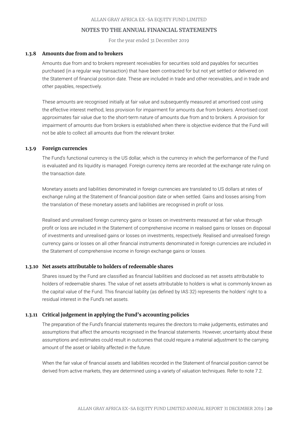For the year ended 31 December 2019

#### **1.3.8 Amounts due from and to brokers**

Amounts due from and to brokers represent receivables for securities sold and payables for securities purchased (in a regular way transaction) that have been contracted for but not yet settled or delivered on the Statement of financial position date. These are included in trade and other receivables, and in trade and other payables, respectively.

These amounts are recognised initially at fair value and subsequently measured at amortised cost using the effective interest method, less provision for impairment for amounts due from brokers. Amortised cost approximates fair value due to the short-term nature of amounts due from and to brokers. A provision for impairment of amounts due from brokers is established when there is objective evidence that the Fund will not be able to collect all amounts due from the relevant broker.

### **1.3.9 Foreign currencies**

The Fund's functional currency is the US dollar, which is the currency in which the performance of the Fund is evaluated and its liquidity is managed. Foreign currency items are recorded at the exchange rate ruling on the transaction date.

Monetary assets and liabilities denominated in foreign currencies are translated to US dollars at rates of exchange ruling at the Statement of financial position date or when settled. Gains and losses arising from the translation of these monetary assets and liabilities are recognised in profit or loss.

Realised and unrealised foreign currency gains or losses on investments measured at fair value through profit or loss are included in the Statement of comprehensive income in realised gains or losses on disposal of investments and unrealised gains or losses on investments, respectively. Realised and unrealised foreign currency gains or losses on all other financial instruments denominated in foreign currencies are included in the Statement of comprehensive income in foreign exchange gains or losses.

#### **1.3.10 Net assets attributable to holders of redeemable shares**

Shares issued by the Fund are classified as financial liabilities and disclosed as net assets attributable to holders of redeemable shares. The value of net assets attributable to holders is what is commonly known as the capital value of the Fund. This financial liability (as defined by IAS 32) represents the holders' right to a residual interest in the Fund's net assets.

### **1.3.11 Critical judgement in applying the Fund's accounting policies**

The preparation of the Fund's financial statements requires the directors to make judgements, estimates and assumptions that affect the amounts recognised in the financial statements. However, uncertainty about these assumptions and estimates could result in outcomes that could require a material adjustment to the carrying amount of the asset or liability affected in the future.

When the fair value of financial assets and liabilities recorded in the Statement of financial position cannot be derived from active markets, they are determined using a variety of valuation techniques. Refer to note 7.2.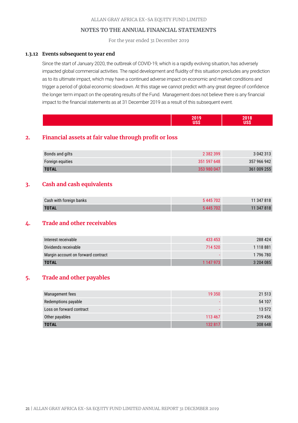For the year ended 31 December 2019

### **1.3.12 Events subsequent to year end**

Since the start of January 2020, the outbreak of COVID-19, which is a rapidly evolving situation, has adversely impacted global commercial activities. The rapid development and fluidity of this situation precludes any prediction as to its ultimate impact, which may have a continued adverse impact on economic and market conditions and trigger a period of global economic slowdown. At this stage we cannot predict with any great degree of confidence the longer term impact on the operating results of the Fund. Management does not believe there is any financial impact to the financial statements as at 31 December 2019 as a result of this subsequent event.

|--|--|--|

# **2. Financial assets at fair value through profit or loss**

| Bonds and gilts  | 2 3 8 2 3 9 9 | 3 042 313   |
|------------------|---------------|-------------|
| Foreign equities | 351 597 648   | 357 966 942 |
| <b>TOTAL</b>     | 353 980 047   | 361 009 255 |

# **3. Cash and cash equivalents**

| Cash with foreign banks | 5445702 | 11 347 818 |
|-------------------------|---------|------------|
| <b>TOTAL</b>            | 5445702 | 11 347 818 |

# **4. Trade and other receivables**

| Interest receivable                | 433 453   | 288 424       |
|------------------------------------|-----------|---------------|
| Dividends receivable               | 714 520   | 1 1 1 8 8 8 1 |
| Margin account on forward contract |           | 1 796 780     |
| <b>TOTAL</b>                       | 1 147 973 | 3 204 085     |

# **5. Trade and other payables**

| Management fees          | 19 350  | 21 513  |
|--------------------------|---------|---------|
| Redemptions payable      |         | 54 107  |
| Loss on forward contract |         | 13 572  |
| Other payables           | 113 467 | 219 456 |
| <b>TOTAL</b>             | 132 817 | 308 648 |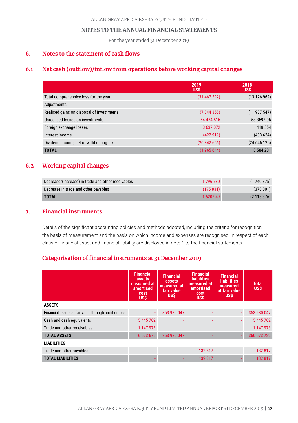For the year ended 31 December 2019

# **6. Notes to the statement of cash flows**

# **6.1 Net cash (outflow)/inflow from operations before working capital changes**

|                                           | 2019<br><b>US\$</b> | 2018<br><b>US\$</b> |
|-------------------------------------------|---------------------|---------------------|
| Total comprehensive loss for the year     | (31 467 292)        | (13126962)          |
| Adjustments:                              |                     |                     |
| Realised gains on disposal of investments | (7344355)           | (11987547)          |
| Unrealised losses on investments          | 54 474 516          | 58 359 905          |
| Foreign exchange losses                   | 3 637 072           | 418 554             |
| Interest income                           | (422919)            | (433624)            |
| Dividend income, net of withholding tax   | (2084266)           | (24646125)          |
| <b>TOTAL</b>                              | (1965644)           | 8 5 8 4 2 0 1       |

# **6.2 Working capital changes**

| Decrease/(increase) in trade and other receivables | 1 796 780 | (1740375) |
|----------------------------------------------------|-----------|-----------|
| Decrease in trade and other payables               | (175831)  | (378001)  |
| <b>TOTAL</b>                                       | 1620949   | (2118376) |

# **7. Financial instruments**

Details of the significant accounting policies and methods adopted, including the criteria for recognition, the basis of measurement and the basis on which income and expenses are recognised, in respect of each class of financial asset and financial liability are disclosed in note 1 to the financial statements.

# **Categorisation of financial instruments at 31 December 2019**

|                                                       | <b>Financial</b><br>assets<br>measured at<br>amortised<br>cost<br><b>US\$</b> | <b>Financial</b><br>assets<br>measured at<br>fair value<br><b>US\$</b> | <b>Financial</b><br><b>liabilities</b><br>measured at<br>amortised<br>cost<br><b>US\$</b> | <b>Financial</b><br><b>liabilities</b><br>measured<br>at fair value<br><b>USS</b> | <b>Total</b><br><b>US\$</b> |
|-------------------------------------------------------|-------------------------------------------------------------------------------|------------------------------------------------------------------------|-------------------------------------------------------------------------------------------|-----------------------------------------------------------------------------------|-----------------------------|
| <b>ASSETS</b>                                         |                                                                               |                                                                        |                                                                                           |                                                                                   |                             |
| Financial assets at fair value through profit or loss | ÷.                                                                            | 353 980 047                                                            |                                                                                           | $\omega$                                                                          | 353 980 047                 |
| Cash and cash equivalents                             | 5445702                                                                       |                                                                        |                                                                                           |                                                                                   | 5445702                     |
| Trade and other receivables                           | 1 147 973                                                                     |                                                                        |                                                                                           |                                                                                   | 1 147 973                   |
| <b>TOTAL ASSETS</b>                                   | 6 593 675                                                                     | 353 980 047                                                            |                                                                                           |                                                                                   | 360 573 722                 |
| <b>LIABILITIES</b>                                    |                                                                               |                                                                        |                                                                                           |                                                                                   |                             |
| Trade and other payables                              |                                                                               |                                                                        | 132 817                                                                                   |                                                                                   | 132 817                     |
| <b>TOTAL LIABILITIES</b>                              |                                                                               |                                                                        | 132 817                                                                                   |                                                                                   | 132 817                     |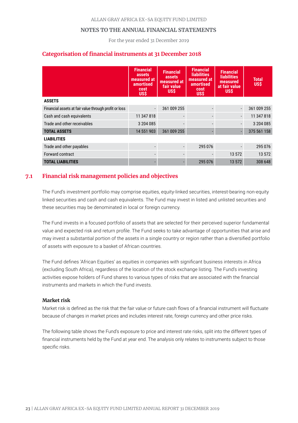For the year ended 31 December 2019

# **Categorisation of financial instruments at 31 December 2018**

|                                                       | <b>Financial</b><br>assets<br>measured at<br>amortised<br>cost<br><b>USS</b> | <b>Financial</b><br>assets<br>measured at<br>fair value<br><b>USS</b> | <b>Financial</b><br><b>liabilities</b><br>measured at<br><b>amortised</b><br>cost<br><b>US\$</b> | <b>Financial</b><br><b>liabilities</b><br>measured<br>at fair value<br><b>US\$</b> | <b>Total</b><br>US\$ |
|-------------------------------------------------------|------------------------------------------------------------------------------|-----------------------------------------------------------------------|--------------------------------------------------------------------------------------------------|------------------------------------------------------------------------------------|----------------------|
| <b>ASSETS</b>                                         |                                                                              |                                                                       |                                                                                                  |                                                                                    |                      |
| Financial assets at fair value through profit or loss | $\blacksquare$                                                               | 361 009 255                                                           |                                                                                                  | $\blacksquare$                                                                     | 361 009 255          |
| Cash and cash equivalents                             | 11 347 818                                                                   |                                                                       |                                                                                                  | $\overline{\phantom{a}}$                                                           | 11 347 818           |
| Trade and other receivables                           | 3 204 085                                                                    |                                                                       |                                                                                                  |                                                                                    | 3 204 085            |
| <b>TOTAL ASSETS</b>                                   | 14 551 903                                                                   | 361 009 255                                                           |                                                                                                  |                                                                                    | 375 561 158          |
| <b>LIABILITIES</b>                                    |                                                                              |                                                                       |                                                                                                  |                                                                                    |                      |
| Trade and other payables                              |                                                                              |                                                                       | 295 076                                                                                          |                                                                                    | 295 076              |
| Forward contract                                      |                                                                              |                                                                       |                                                                                                  | 13 572                                                                             | 13 572               |
| <b>TOTAL LIABILITIES</b>                              |                                                                              |                                                                       | 295 076                                                                                          | 13 572                                                                             | 308 648              |

# **7.1 Financial risk management policies and objectives**

The Fund's investment portfolio may comprise equities, equity-linked securities, interest-bearing non-equity linked securities and cash and cash equivalents. The Fund may invest in listed and unlisted securities and these securities may be denominated in local or foreign currency.

The Fund invests in a focused portfolio of assets that are selected for their perceived superior fundamental value and expected risk and return profile. The Fund seeks to take advantage of opportunities that arise and may invest a substantial portion of the assets in a single country or region rather than a diversified portfolio of assets with exposure to a basket of African countries.

The Fund defines 'African Equities' as equities in companies with significant business interests in Africa (excluding South Africa), regardless of the location of the stock exchange listing. The Fund's investing activities expose holders of Fund shares to various types of risks that are associated with the financial instruments and markets in which the Fund invests.

### **Market risk**

Market risk is defined as the risk that the fair value or future cash flows of a financial instrument will fluctuate because of changes in market prices and includes interest rate, foreign currency and other price risks.

The following table shows the Fund's exposure to price and interest rate risks, split into the different types of financial instruments held by the Fund at year end. The analysis only relates to instruments subject to those specific risks.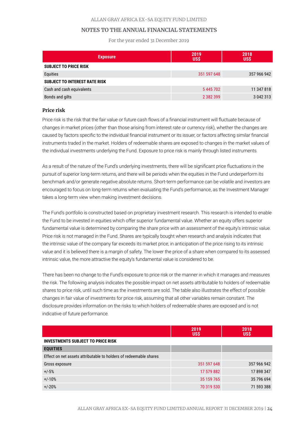For the year ended 31 December 2019

| <b>Exposure</b>                      | 2019<br>US\$  | 2018<br>US\$ |
|--------------------------------------|---------------|--------------|
| <b>SUBJECT TO PRICE RISK</b>         |               |              |
| Equities                             | 351 597 648   | 357 966 942  |
| <b>SUBJECT TO INTEREST RATE RISK</b> |               |              |
| Cash and cash equivalents            | 5445702       | 11 347 818   |
| Bonds and gilts                      | 2 3 8 2 3 9 9 | 3 042 313    |

#### **Price risk**

Price risk is the risk that the fair value or future cash flows of a financial instrument will fluctuate because of changes in market prices (other than those arising from interest rate or currency risk), whether the changes are caused by factors specific to the individual financial instrument or its issuer, or factors affecting similar financial instruments traded in the market. Holders of redeemable shares are exposed to changes in the market values of the individual investments underlying the Fund. Exposure to price risk is mainly through listed instruments.

As a result of the nature of the Fund's underlying investments, there will be significant price fluctuations in the pursuit of superior long-term returns, and there will be periods when the equities in the Fund underperform its benchmark and/or generate negative absolute returns. Short-term performance can be volatile and investors are encouraged to focus on long-term returns when evaluating the Fund's performance, as the Investment Manager takes a long-term view when making investment decisions.

The Fund's portfolio is constructed based on proprietary investment research. This research is intended to enable the Fund to be invested in equities which offer superior fundamental value. Whether an equity offers superior fundamental value is determined by comparing the share price with an assessment of the equity's intrinsic value. Price risk is not managed in the Fund. Shares are typically bought when research and analysis indicates that the intrinsic value of the company far exceeds its market price, in anticipation of the price rising to its intrinsic value and it is believed there is a margin of safety. The lower the price of a share when compared to its assessed intrinsic value, the more attractive the equity's fundamental value is considered to be.

There has been no change to the Fund's exposure to price risk or the manner in which it manages and measures the risk. The following analysis indicates the possible impact on net assets attributable to holders of redeemable shares to price risk, until such time as the investments are sold. The table also illustrates the effect of possible changes in fair value of investments for price risk, assuming that all other variables remain constant. The disclosure provides information on the risks to which holders of redeemable shares are exposed and is not indicative of future performance.

|                                                                   | 2019<br><b>US\$</b> | 2018<br><b>US\$</b> |
|-------------------------------------------------------------------|---------------------|---------------------|
| <b>INVESTMENTS SUBJECT TO PRICE RISK</b>                          |                     |                     |
| <b>EQUITIES</b>                                                   |                     |                     |
| Effect on net assets attributable to holders of redeemable shares |                     |                     |
| Gross exposure                                                    | 351 597 648         | 357 966 942         |
| $+/-5%$                                                           | 17 579 882          | 17898347            |
| $+/-10%$                                                          | 35 159 765          | 35 796 694          |
| $+/-20%$                                                          | 70 319 530          | 71 593 388          |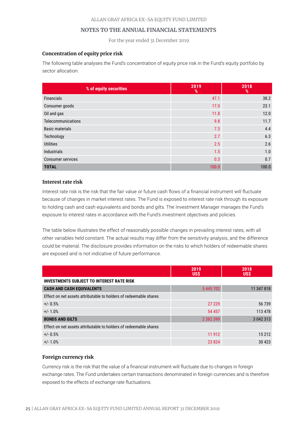For the year ended 31 December 2019

# **Concentration of equity price risk**

The following table analyses the Fund's concentration of equity price risk in the Fund's equity portfolio by sector allocation:

| % of equity securities   | 2019<br>% | 2018<br>% |
|--------------------------|-----------|-----------|
| <b>Financials</b>        | 47.1      | 38.2      |
| Consumer goods           | 17.0      | 23.1      |
| Oil and gas              | 11.8      | 12.0      |
| Telecommunications       | 9.8       | 11.7      |
| <b>Basic materials</b>   | 7.3       | 4.4       |
| Technology               | 2.7       | 6.3       |
| <b>Utilities</b>         | 2.5       | 2.6       |
| Industrials              | 1.5       | 1.0       |
| <b>Consumer services</b> | 0.3       | 0.7       |
| <b>TOTAL</b>             | 100.0     | 100.0     |

### **Interest rate risk**

Interest rate risk is the risk that the fair value or future cash flows of a financial instrument will fluctuate because of changes in market interest rates. The Fund is exposed to interest rate risk through its exposure to holding cash and cash equivalents and bonds and gilts. The Investment Manager manages the Fund's exposure to interest rates in accordance with the Fund's investment objectives and policies.

The table below illustrates the effect of reasonably possible changes in prevailing interest rates, with all other variables held constant. The actual results may differ from the sensitivity analysis, and the difference could be material. The disclosure provides information on the risks to which holders of redeemable shares are exposed and is not indicative of future performance.

|                                                                   | 2019<br><b>US\$</b> | 2018<br><b>US\$</b> |
|-------------------------------------------------------------------|---------------------|---------------------|
| <b>INVESTMENTS SUBJECT TO INTEREST RATE RISK</b>                  |                     |                     |
| <b>CASH AND CASH EQUIVALENTS</b>                                  | 5445702             | 11 347 818          |
| Effect on net assets attributable to holders of redeemable shares |                     |                     |
| $+/- 0.5%$                                                        | 27 229              | 56 739              |
| $+/-1.0%$                                                         | 54 457              | 113 478             |
| <b>BONDS AND GILTS</b>                                            | 2 382 399           | 3 042 313           |
| Effect on net assets attributable to holders of redeemable shares |                     |                     |
| $+/- 0.5%$                                                        | 11 912              | 15 212              |
| $+/-1.0%$                                                         | 23824               | 30 4 23             |

# **Foreign currency risk**

Currency risk is the risk that the value of a financial instrument will fluctuate due to changes in foreign exchange rates. The Fund undertakes certain transactions denominated in foreign currencies and is therefore exposed to the effects of exchange rate fluctuations.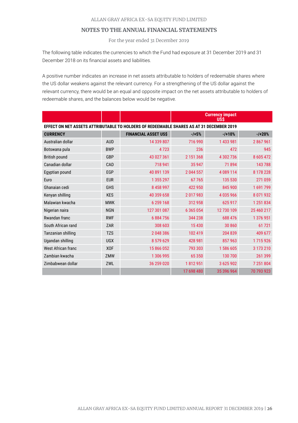For the year ended 31 December 2019

The following table indicates the currencies to which the Fund had exposure at 31 December 2019 and 31 December 2018 on its financial assets and liabilities.

A positive number indicates an increase in net assets attributable to holders of redeemable shares where the US dollar weakens against the relevant currency. For a strengthening of the US dollar against the relevant currency, there would be an equal and opposite impact on the net assets attributable to holders of redeemable shares, and the balances below would be negative.

|                                                                                          |            |                             |               | <b>Currency impact</b><br>UŠŠ |            |
|------------------------------------------------------------------------------------------|------------|-----------------------------|---------------|-------------------------------|------------|
| EFFECT ON NET ASSETS ATTRIBUTABLE TO HOLDERS OF REDEEMABLE SHARES AS AT 31 DECEMBER 2019 |            |                             |               |                               |            |
| <b>CURRENCY</b>                                                                          |            | <b>FINANCIAL ASSET US\$</b> | $-1+5%$       | $-1 + 10%$                    | $-1 + 20%$ |
| Australian dollar                                                                        | <b>AUD</b> | 14 339 807                  | 716 990       | 1433981                       | 2867961    |
| Botswana pula                                                                            | <b>BWP</b> | 4723                        | 236           | 472                           | 945        |
| <b>British pound</b>                                                                     | GBP        | 43 027 361                  | 2 151 368     | 4 302 736                     | 8 605 472  |
| Canadian dollar                                                                          | CAD        | 718 941                     | 35 947        | 71894                         | 143 788    |
| Egyptian pound                                                                           | EGP        | 40 891 139                  | 2 044 557     | 4 089 114                     | 8 178 228  |
| Euro                                                                                     | <b>EUR</b> | 1 355 297                   | 67765         | 135 530                       | 271 059    |
| Ghanaian cedi                                                                            | <b>GHS</b> | 8 458 997                   | 422 950       | 845 900                       | 1691799    |
| Kenyan shilling                                                                          | <b>KES</b> | 40 359 658                  | 2017983       | 4 035 966                     | 8 071 932  |
| Malawian kwacha                                                                          | <b>MWK</b> | 6 259 168                   | 312958        | 625 917                       | 1 251 834  |
| Nigerian naira                                                                           | <b>NGN</b> | 127 301 087                 | 6 3 6 5 0 5 4 | 12 730 109                    | 25 460 217 |
| Rwandan franc                                                                            | <b>RWF</b> | 6884756                     | 344 238       | 688 476                       | 1 376 951  |
| South African rand                                                                       | ZAR        | 308 603                     | 15 4 30       | 30 860                        | 61721      |
| Tanzanian shilling                                                                       | <b>TZS</b> | 2 048 386                   | 102 419       | 204 839                       | 409 677    |
| Ugandan shilling                                                                         | <b>UGX</b> | 8 579 629                   | 428 981       | 857 963                       | 1715926    |
| West African franc                                                                       | <b>XOF</b> | 15 866 052                  | 793 303       | 1586 605                      | 3 173 210  |
| Zambian kwacha                                                                           | ZMW        | 1 306 995                   | 65 350        | 130 700                       | 261 399    |
| Zimbabwean dollar                                                                        | ZWL        | 36 259 020                  | 1812951       | 3625902                       | 7 251 804  |
|                                                                                          |            |                             | 17 698 480    | 35 396 964                    | 70 793 923 |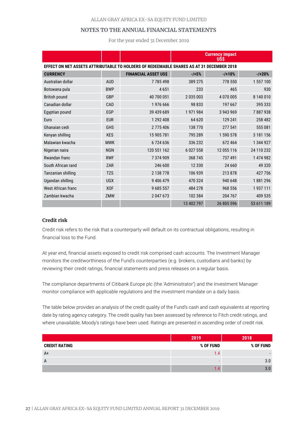For the year ended 31 December 2019

|                                                                                          |            |                             |             | <b>Currency impact</b><br>USŚ |            |
|------------------------------------------------------------------------------------------|------------|-----------------------------|-------------|-------------------------------|------------|
| EFFECT ON NET ASSETS ATTRIBUTABLE TO HOLDERS OF REDEEMABLE SHARES AS AT 31 DECEMBER 2018 |            |                             |             |                               |            |
| <b>CURRENCY</b>                                                                          |            | <b>FINANCIAL ASSET US\$</b> | $-1 + 5%$   | $-110%$                       | $-1 + 20%$ |
| Australian dollar                                                                        | <b>AUD</b> | 7785498                     | 389 275     | 778 550                       | 1 557 100  |
| Botswana pula                                                                            | <b>BWP</b> | 4651                        | 233         | 465                           | 930        |
| <b>British pound</b>                                                                     | GBP        | 40 700 051                  | 2035003     | 4 070 005                     | 8 140 010  |
| Canadian dollar                                                                          | CAD        | 1976 666                    | 98 833      | 197 667                       | 395 333    |
| Egyptian pound                                                                           | EGP        | 39 439 689                  | 1971984     | 3 943 969                     | 7887938    |
| Euro                                                                                     | <b>EUR</b> | 1 292 408                   | 64 620      | 129 241                       | 258 482    |
| Ghanaian cedi                                                                            | <b>GHS</b> | 2775406                     | 138 770     | 277 541                       | 555 081    |
| Kenyan shilling                                                                          | <b>KES</b> | 15 905 781                  | 795 289     | 1 590 578                     | 3 181 156  |
| Malawian kwacha                                                                          | <b>MWK</b> | 6724636                     | 336 232     | 672 464                       | 1 344 927  |
| Nigerian naira                                                                           | <b>NGN</b> | 120 551 162                 | 6 0 27 5 58 | 12 055 116                    | 24 110 232 |
| Rwandan franc                                                                            | <b>RWF</b> | 7 374 909                   | 368745      | 737 491                       | 1 474 982  |
| South African rand                                                                       | ZAR        | 246 600                     | 12 3 3 0    | 24 660                        | 49 3 20    |
| Tanzanian shilling                                                                       | <b>TZS</b> | 2 138 778                   | 106 939     | 213 878                       | 427756     |
| Ugandan shilling                                                                         | <b>UGX</b> | 9 406 479                   | 470 324     | 940 648                       | 1881296    |
| West African franc                                                                       | <b>XOF</b> | 9 685 557                   | 484 278     | 968 556                       | 1937111    |
| Zambian kwacha                                                                           | ZMW        | 2 047 673                   | 102 384     | 204 767                       | 409 535    |
|                                                                                          |            |                             | 13 402 797  | 26 805 596                    | 53 611 189 |

### **Credit risk**

Credit risk refers to the risk that a counterparty will default on its contractual obligations, resulting in financial loss to the Fund.

At year end, financial assets exposed to credit risk comprised cash accounts. The Investment Manager monitors the creditworthiness of the Fund's counterparties (e.g. brokers, custodians and banks) by reviewing their credit ratings, financial statements and press releases on a regular basis.

The compliance departments of Citibank Europe plc (the 'Administrator') and the Investment Manager monitor compliance with applicable regulations and the investment mandate on a daily basis.

The table below provides an analysis of the credit quality of the Fund's cash and cash equivalents at reporting date by rating agency category. The credit quality has been assessed by reference to Fitch credit ratings, and where unavailable, Moody's ratings have been used. Ratings are presented in ascending order of credit risk.

|                      | 2019      | 2018                     |
|----------------------|-----------|--------------------------|
| <b>CREDIT RATING</b> | % OF FUND | % OF FUND                |
| A+                   | l.4       | $\overline{\phantom{a}}$ |
| $\mathsf{A}$         |           | 3.0                      |
|                      |           | 3.0                      |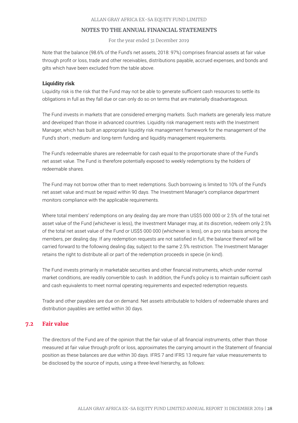For the year ended 31 December 2019

Note that the balance (98.6% of the Fund's net assets, 2018: 97%) comprises financial assets at fair value through profit or loss, trade and other receivables, distributions payable, accrued expenses, and bonds and gilts which have been excluded from the table above.

#### **Liquidity risk**

Liquidity risk is the risk that the Fund may not be able to generate sufficient cash resources to settle its obligations in full as they fall due or can only do so on terms that are materially disadvantageous.

The Fund invests in markets that are considered emerging markets. Such markets are generally less mature and developed than those in advanced countries. Liquidity risk management rests with the Investment Manager, which has built an appropriate liquidity risk management framework for the management of the Fund's short-, medium- and long-term funding and liquidity management requirements.

The Fund's redeemable shares are redeemable for cash equal to the proportionate share of the Fund's net asset value. The Fund is therefore potentially exposed to weekly redemptions by the holders of redeemable shares.

The Fund may not borrow other than to meet redemptions. Such borrowing is limited to 10% of the Fund's net asset value and must be repaid within 90 days. The Investment Manager's compliance department monitors compliance with the applicable requirements.

Where total members' redemptions on any dealing day are more than US\$5 000 000 or 2.5% of the total net asset value of the Fund (whichever is less), the Investment Manager may, at its discretion, redeem only 2.5% of the total net asset value of the Fund or US\$5 000 000 (whichever is less), on a pro rata basis among the members, per dealing day. If any redemption requests are not satisfied in full, the balance thereof will be carried forward to the following dealing day, subject to the same 2.5% restriction. The Investment Manager retains the right to distribute all or part of the redemption proceeds in specie (in kind).

The Fund invests primarily in marketable securities and other financial instruments, which under normal market conditions, are readily convertible to cash. In addition, the Fund's policy is to maintain sufficient cash and cash equivalents to meet normal operating requirements and expected redemption requests.

Trade and other payables are due on demand. Net assets attributable to holders of redeemable shares and distribution payables are settled within 30 days.

# **7.2 Fair value**

The directors of the Fund are of the opinion that the fair value of all financial instruments, other than those measured at fair value through profit or loss, approximates the carrying amount in the Statement of financial position as these balances are due within 30 days. IFRS 7 and IFRS 13 require fair value measurements to be disclosed by the source of inputs, using a three-level hierarchy, as follows: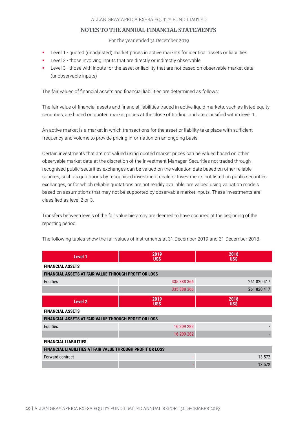For the year ended 31 December 2019

- Level 1 quoted (unadjusted) market prices in active markets for identical assets or liabilities
- Level 2 those involving inputs that are directly or indirectly observable
- Level 3 those with inputs for the asset or liability that are not based on observable market data (unobservable inputs)

The fair values of financial assets and financial liabilities are determined as follows:

The fair value of financial assets and financial liabilities traded in active liquid markets, such as listed equity securities, are based on quoted market prices at the close of trading, and are classified within level 1.

An active market is a market in which transactions for the asset or liability take place with sufficient frequency and volume to provide pricing information on an ongoing basis.

Certain investments that are not valued using quoted market prices can be valued based on other observable market data at the discretion of the Investment Manager. Securities not traded through recognised public securities exchanges can be valued on the valuation date based on other reliable sources, such as quotations by recognised investment dealers. Investments not listed on public securities exchanges, or for which reliable quotations are not readily available, are valued using valuation models based on assumptions that may not be supported by observable market inputs. These investments are classified as level 2 or 3.

Transfers between levels of the fair value hierarchy are deemed to have occurred at the beginning of the reporting period.

| Level 1                                                           | 2019<br><b>US\$</b> | 2018<br>US\$       |
|-------------------------------------------------------------------|---------------------|--------------------|
| <b>FINANCIAL ASSETS</b>                                           |                     |                    |
| <b>FINANCIAL ASSETS AT FAIR VALUE THROUGH PROFIT OR LOSS</b>      |                     |                    |
| Equities                                                          | 335 388 366         | 261 820 417        |
|                                                                   | 335 388 366         | 261 820 417        |
| Level 2                                                           | 2019<br><b>USS</b>  | 2018<br><b>USS</b> |
| <b>FINANCIAL ASSETS</b>                                           |                     |                    |
| <b>FINANCIAL ASSETS AT FAIR VALUE THROUGH PROFIT OR LOSS</b>      |                     |                    |
| Equities                                                          | 16 209 282          |                    |
|                                                                   | 16 209 282          |                    |
| <b>FINANCIAL LIABILITIES</b>                                      |                     |                    |
| <b>FINANCIAL LIABILITIES AT FAIR VALUE THROUGH PROFIT OR LOSS</b> |                     |                    |
| Forward contract                                                  |                     | 13 572             |
|                                                                   |                     | 13 572             |

The following tables show the fair values of instruments at 31 December 2019 and 31 December 2018.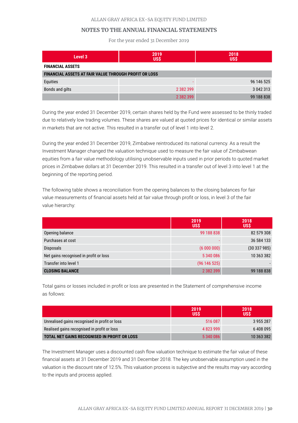For the year ended 31 December 2019

| Level 3                                                      | 2019<br><b>US\$</b> | 2018<br><b>US\$</b> |
|--------------------------------------------------------------|---------------------|---------------------|
| <b>FINANCIAL ASSETS</b>                                      |                     |                     |
| <b>FINANCIAL ASSETS AT FAIR VALUE THROUGH PROFIT OR LOSS</b> |                     |                     |
| Equities                                                     |                     | 96 146 525          |
| Bonds and gilts                                              | 2 382 399           | 3 042 313           |
|                                                              | 2 382 399           | 99 188 838          |

During the year ended 31 December 2019, certain shares held by the Fund were assessed to be thinly traded due to relatively low trading volumes. These shares are valued at quoted prices for identical or similar assets in markets that are not active. This resulted in a transfer out of level 1 into level 2.

During the year ended 31 December 2019, Zimbabwe reintroduced its national currency. As a result the Investment Manager changed the valuation technique used to measure the fair value of Zimbabwean equities from a fair value methodology utilising unobservable inputs used in prior periods to quoted market prices in Zimbabwe dollars at 31 December 2019. This resulted in a transfer out of level 3 into level 1 at the beginning of the reporting period.

The following table shows a reconciliation from the opening balances to the closing balances for fair value measurements of financial assets held at fair value through profit or loss, in level 3 of the fair value hierarchy:

|                                        | 2019<br><b>US\$</b> | 2018<br><b>US\$</b> |
|----------------------------------------|---------------------|---------------------|
| Opening balance                        | 99 188 838          | 82 579 308          |
| Purchases at cost                      |                     | 36 584 133          |
| Disposals                              | (600000)            | (30337985)          |
| Net gains recognised in profit or loss | 5 340 086           | 10 363 382          |
| Transfer into level 1                  | (96146525)          |                     |
| <b>CLOSING BALANCE</b>                 | 2 382 399           | 99 188 838          |

Total gains or losses included in profit or loss are presented in the Statement of comprehensive income as follows:

|                                                     | 2019<br><b>USS</b> | 2018<br>USŚ |
|-----------------------------------------------------|--------------------|-------------|
| Unrealised gains recognised in profit or loss       | 516 087            | 3955287     |
| Realised gains recognised in profit or loss         | 4 823 999          | 6408095     |
| <b>TOTAL NET GAINS RECOGNISED IN PROFIT OR LOSS</b> | 5340086            | 10 363 382  |

The Investment Manager uses a discounted cash flow valuation technique to estimate the fair value of these financial assets at 31 December 2019 and 31 December 2018. The key unobservable assumption used in the valuation is the discount rate of 12.5%. This valuation process is subjective and the results may vary according to the inputs and process applied.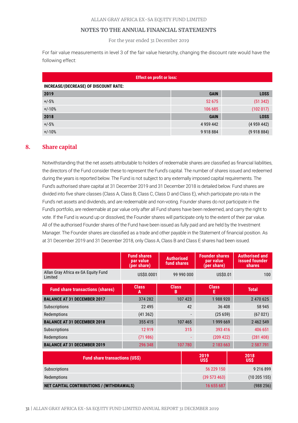For the year ended 31 December 2019

For fair value measurements in level 3 of the fair value hierarchy, changing the discount rate would have the following effect:

| <b>Effect on profit or loss:</b>      |               |             |  |  |
|---------------------------------------|---------------|-------------|--|--|
| INCREASE/(DECREASE) OF DISCOUNT RATE: |               |             |  |  |
| 2019                                  | <b>GAIN</b>   | <b>LOSS</b> |  |  |
| $+/-5%$                               | 52 675        | (51342)     |  |  |
| $+/-10%$                              | 106 685       | (102 017)   |  |  |
| 2018                                  | <b>GAIN</b>   | <b>LOSS</b> |  |  |
| $+/-5%$                               | 4 9 5 9 4 4 2 | (4959442)   |  |  |
| $+/-10%$                              | 9 9 18 8 8 4  | (9918884)   |  |  |

# **8. Share capital**

Notwithstanding that the net assets attributable to holders of redeemable shares are classified as financial liabilities, the directors of the Fund consider these to represent the Fund's capital. The number of shares issued and redeemed during the years is reported below. The Fund is not subject to any externally imposed capital requirements. The Fund's authorised share capital at 31 December 2019 and 31 December 2018 is detailed below. Fund shares are divided into five share classes (Class A, Class B, Class C, Class D and Class E), which participate pro rata in the Fund's net assets and dividends, and are redeemable and non-voting. Founder shares do not participate in the Fund's portfolio, are redeemable at par value only after all Fund shares have been redeemed, and carry the right to vote. If the Fund is wound up or dissolved, the Founder shares will participate only to the extent of their par value. All of the authorised Founder shares of the Fund have been issued as fully paid and are held by the Investment Manager. The Founder shares are classified as a trade and other payable in the Statement of financial position. As at 31 December 2019 and 31 December 2018, only Class A, Class B and Class E shares had been issued.

|                                                | <b>Fund shares</b><br>par value<br>(per share) | <b>Authorised</b><br>fund shares | <b>Founder shares</b><br>par value<br>(per share) | <b>Authorised and</b><br>issued founder<br><b>shares</b> |
|------------------------------------------------|------------------------------------------------|----------------------------------|---------------------------------------------------|----------------------------------------------------------|
| Allan Gray Africa ex-SA Equity Fund<br>Limited | US\$0.0001                                     | 99 990 000                       | US\$0.01                                          | 100                                                      |
| <b>Fund share transactions (shares)</b>        | <b>Class</b><br>A                              | <b>Class</b><br>В                | <b>Class</b><br>Е                                 | <b>Total</b>                                             |
| <b>BALANCE AT 31 DECEMBER 2017</b>             | 374 282                                        | 107 423                          | 1988920                                           | 2 470 625                                                |
| Subscriptions                                  | 22 4 9 5                                       | 42                               | 36 408                                            | 58 945                                                   |
| Redemptions                                    | (41362)                                        |                                  | (25659)                                           | (67021)                                                  |
| <b>BALANCE AT 31 DECEMBER 2018</b>             | 355 415                                        | 107 465                          | 1999669                                           | 2 462 549                                                |
| Subscriptions                                  | 12 9 19                                        | 315                              | 393 416                                           | 406 651                                                  |
| Redemptions                                    | (71986)                                        |                                  | (209 422)                                         | (281408)                                                 |
| <b>BALANCE AT 31 DECEMBER 2019</b>             | 296 348                                        | 107 780                          | 2 183 663                                         | 2 587 791                                                |

| <b>Fund share transactions (US\$)</b>            | 2019<br><b>US\$</b> | 2018<br><b>US\$</b> |
|--------------------------------------------------|---------------------|---------------------|
| Subscriptions                                    | 56 229 150          | 9 2 1 6 8 9 9       |
| Redemptions                                      | (39 573 463)        | (10205155)          |
| <b>NET CAPITAL CONTRIBUTIONS / (WITHDRAWALS)</b> | 16 655 687          | (988 256)           |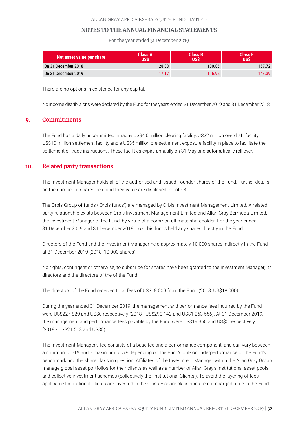For the year ended 31 December 2019

| Net asset value per share | Class A<br>JSŚ | <b>Class B</b><br>USŚ | Class E<br>USŚ |
|---------------------------|----------------|-----------------------|----------------|
| On 31 December 2018       | 128.88         | 130.86                | 157.72         |
| On 31 December 2019       | 117.17         | 116.92                | 143.39         |

There are no options in existence for any capital.

No income distributions were declared by the Fund for the years ended 31 December 2019 and 31 December 2018.

# **9. Commitments**

The Fund has a daily uncommitted intraday US\$4.6 million clearing facility, US\$2 million overdraft facility, US\$10 million settlement facility and a US\$5 million pre-settlement exposure facility in place to facilitate the settlement of trade instructions. These facilities expire annually on 31 May and automatically roll over.

# **10. Related party transactions**

The Investment Manager holds all of the authorised and issued Founder shares of the Fund. Further details on the number of shares held and their value are disclosed in note 8.

The Orbis Group of funds ('Orbis funds') are managed by Orbis Investment Management Limited. A related party relationship exists between Orbis Investment Management Limited and Allan Gray Bermuda Limited, the Investment Manager of the Fund, by virtue of a common ultimate shareholder. For the year ended 31 December 2019 and 31 December 2018, no Orbis funds held any shares directly in the Fund.

Directors of the Fund and the Investment Manager held approximately 10 000 shares indirectly in the Fund at 31 December 2019 (2018: 10 000 shares).

No rights, contingent or otherwise, to subscribe for shares have been granted to the Investment Manager, its directors and the directors of the of the Fund.

The directors of the Fund received total fees of US\$18 000 from the Fund (2018: US\$18 000).

During the year ended 31 December 2019, the management and performance fees incurred by the Fund were US\$227 829 and US\$0 respectively (2018 - US\$290 142 and US\$1 263 556). At 31 December 2019, the management and performance fees payable by the Fund were US\$19 350 and US\$0 respectively (2018 - US\$21 513 and US\$0).

The Investment Manager's fee consists of a base fee and a performance component, and can vary between a minimum of 0% and a maximum of 5% depending on the Fund's out- or underperformance of the Fund's benchmark and the share class in question. Affiliates of the Investment Manager within the Allan Gray Group manage global asset portfolios for their clients as well as a number of Allan Gray's institutional asset pools and collective investment schemes (collectively the 'Institutional Clients'). To avoid the layering of fees, applicable Institutional Clients are invested in the Class E share class and are not charged a fee in the Fund.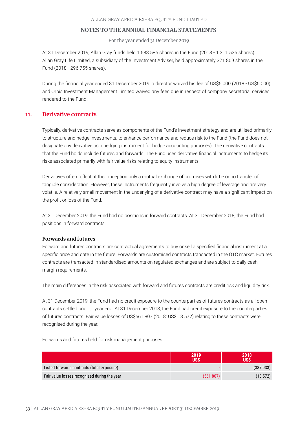For the year ended 31 December 2019

At 31 December 2019, Allan Gray funds held 1 683 586 shares in the Fund (2018 - 1 311 526 shares). Allan Gray Life Limited, a subsidiary of the Investment Adviser, held approximately 321 809 shares in the Fund (2018 - 296 755 shares).

During the financial year ended 31 December 2019, a director waived his fee of US\$6 000 (2018 - US\$6 000) and Orbis Investment Management Limited waived any fees due in respect of company secretarial services rendered to the Fund.

# **11. Derivative contracts**

Typically, derivative contracts serve as components of the Fund's investment strategy and are utilised primarily to structure and hedge investments, to enhance performance and reduce risk to the Fund (the Fund does not designate any derivative as a hedging instrument for hedge accounting purposes). The derivative contracts that the Fund holds include futures and forwards. The Fund uses derivative financial instruments to hedge its risks associated primarily with fair value risks relating to equity instruments.

Derivatives often reflect at their inception only a mutual exchange of promises with little or no transfer of tangible consideration. However, these instruments frequently involve a high degree of leverage and are very volatile. A relatively small movement in the underlying of a derivative contract may have a significant impact on the profit or loss of the Fund.

At 31 December 2019, the Fund had no positions in forward contracts. At 31 December 2018, the Fund had positions in forward contracts.

### **Forwards and futures**

Forward and futures contracts are contractual agreements to buy or sell a specified financial instrument at a specific price and date in the future. Forwards are customised contracts transacted in the OTC market. Futures contracts are transacted in standardised amounts on regulated exchanges and are subject to daily cash margin requirements.

The main differences in the risk associated with forward and futures contracts are credit risk and liquidity risk.

At 31 December 2019, the Fund had no credit exposure to the counterparties of futures contracts as all open contracts settled prior to year end. At 31 December 2018, the Fund had credit exposure to the counterparties of futures contracts. Fair value losses of US\$561 807 (2018: US\$ 13 572) relating to these contracts were recognised during the year.

Forwards and futures held for risk management purposes:

|                                              | 2019<br><b>USS</b> | 2018<br><b>USS</b> |
|----------------------------------------------|--------------------|--------------------|
| Listed forwards contracts (total exposure)   |                    | (387933)           |
| Fair value losses recognised during the year | (561 807)          | (13 572)           |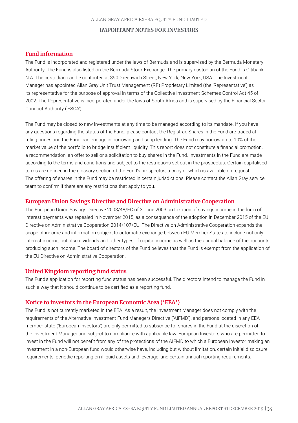### **IMPORTANT NOTES FOR INVESTORS**

# **Fund information**

The Fund is incorporated and registered under the laws of Bermuda and is supervised by the Bermuda Monetary Authority. The Fund is also listed on the Bermuda Stock Exchange. The primary custodian of the Fund is Citibank N.A. The custodian can be contacted at 390 Greenwich Street, New York, New York, USA. The Investment Manager has appointed Allan Gray Unit Trust Management (RF) Proprietary Limited (the 'Representative') as its representative for the purpose of approval in terms of the Collective Investment Schemes Control Act 45 of 2002. The Representative is incorporated under the laws of South Africa and is supervised by the Financial Sector Conduct Authority ('FSCA').

The Fund may be closed to new investments at any time to be managed according to its mandate. If you have any questions regarding the status of the Fund, please contact the Registrar. Shares in the Fund are traded at ruling prices and the Fund can engage in borrowing and scrip lending. The Fund may borrow up to 10% of the market value of the portfolio to bridge insufficient liquidity. This report does not constitute a financial promotion, a recommendation, an offer to sell or a solicitation to buy shares in the Fund. Investments in the Fund are made according to the terms and conditions and subject to the restrictions set out in the prospectus. Certain capitalised terms are defined in the glossary section of the Fund's prospectus, a copy of which is available on request. The offering of shares in the Fund may be restricted in certain jurisdictions. Please contact the Allan Gray service team to confirm if there are any restrictions that apply to you.

# **European Union Savings Directive and Directive on Administrative Cooperation**

The European Union Savings Directive 2003/48/EC of 3 June 2003 on taxation of savings income in the form of interest payments was repealed in November 2015, as a consequence of the adoption in December 2015 of the EU Directive on Administrative Cooperation 2014/107/EU. The Directive on Administrative Cooperation expands the scope of income and information subject to automatic exchange between EU Member States to include not only interest income, but also dividends and other types of capital income as well as the annual balance of the accounts producing such income. The board of directors of the Fund believes that the Fund is exempt from the application of the EU Directive on Administrative Cooperation.

# **United Kingdom reporting fund status**

The Fund's application for reporting fund status has been successful. The directors intend to manage the Fund in such a way that it should continue to be certified as a reporting fund.

### **Notice to investors in the European Economic Area ('EEA')**

The Fund is not currently marketed in the EEA. As a result, the Investment Manager does not comply with the requirements of the Alternative Investment Fund Managers Directive ('AIFMD'), and persons located in any EEA member state ('European Investors') are only permitted to subscribe for shares in the Fund at the discretion of the Investment Manager and subject to compliance with applicable law. European Investors who are permitted to invest in the Fund will not benefit from any of the protections of the AIFMD to which a European Investor making an investment in a non-European fund would otherwise have, including but without limitation, certain initial disclosure requirements, periodic reporting on illiquid assets and leverage, and certain annual reporting requirements.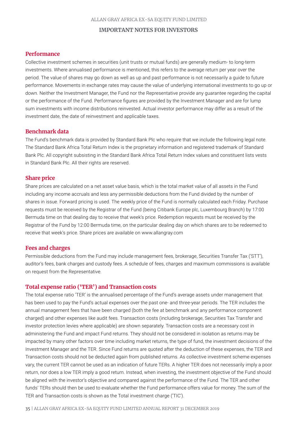#### **IMPORTANT NOTES FOR INVESTORS**

# **Performance**

Collective investment schemes in securities (unit trusts or mutual funds) are generally medium- to long-term investments. Where annualised performance is mentioned, this refers to the average return per year over the period. The value of shares may go down as well as up and past performance is not necessarily a guide to future performance. Movements in exchange rates may cause the value of underlying international investments to go up or down. Neither the Investment Manager, the Fund nor the Representative provide any guarantee regarding the capital or the performance of the Fund. Performance figures are provided by the Investment Manager and are for lump sum investments with income distributions reinvested. Actual investor performance may differ as a result of the investment date, the date of reinvestment and applicable taxes.

# **Benchmark data**

The Fund's benchmark data is provided by Standard Bank Plc who require that we include the following legal note. The Standard Bank Africa Total Return Index is the proprietary information and registered trademark of Standard Bank Plc. All copyright subsisting in the Standard Bank Africa Total Return Index values and constituent lists vests in Standard Bank Plc. All their rights are reserved.

# **Share price**

Share prices are calculated on a net asset value basis, which is the total market value of all assets in the Fund including any income accruals and less any permissible deductions from the Fund divided by the number of shares in issue. Forward pricing is used. The weekly price of the Fund is normally calculated each Friday. Purchase requests must be received by the Registrar of the Fund (being Citibank Europe plc, Luxembourg Branch) by 17:00 Bermuda time on that dealing day to receive that week's price. Redemption requests must be received by the Registrar of the Fund by 12:00 Bermuda time, on the particular dealing day on which shares are to be redeemed to receive that week's price. Share prices are available on www.allangray.com

#### **Fees and charges**

Permissible deductions from the Fund may include management fees, brokerage, Securities Transfer Tax ('STT'), auditor's fees, bank charges and custody fees. A schedule of fees, charges and maximum commissions is available on request from the Representative.

### **Total expense ratio ('TER') and Transaction costs**

The total expense ratio 'TER' is the annualised percentage of the Fund's average assets under management that has been used to pay the Fund's actual expenses over the past one- and three-year periods. The TER includes the annual management fees that have been charged (both the fee at benchmark and any performance component charged) and other expenses like audit fees. Transaction costs (including brokerage, Securities Tax Transfer and investor protection levies where applicable) are shown separately. Transaction costs are a necessary cost in administering the Fund and impact Fund returns. They should not be considered in isolation as returns may be impacted by many other factors over time including market returns, the type of fund, the investment decisions of the Investment Manager and the TER. Since Fund returns are quoted after the deduction of these expenses, the TER and Transaction costs should not be deducted again from published returns. As collective investment scheme expenses vary, the current TER cannot be used as an indication of future TERs. A higher TER does not necessarily imply a poor return, nor does a low TER imply a good return. Instead, when investing, the investment objective of the Fund should be aligned with the investor's objective and compared against the performance of the Fund. The TER and other funds' TERs should then be used to evaluate whether the Fund performance offers value for money. The sum of the TER and Transaction costs is shown as the Total investment charge ('TIC').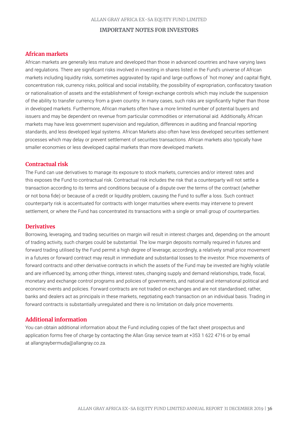#### **IMPORTANT NOTES FOR INVESTORS**

# **African markets**

African markets are generally less mature and developed than those in advanced countries and have varying laws and regulations. There are significant risks involved in investing in shares listed in the Fund's universe of African markets including liquidity risks, sometimes aggravated by rapid and large outflows of `hot money' and capital flight, concentration risk, currency risks, political and social instability, the possibility of expropriation, confiscatory taxation or nationalisation of assets and the establishment of foreign exchange controls which may include the suspension of the ability to transfer currency from a given country. In many cases, such risks are significantly higher than those in developed markets. Furthermore, African markets often have a more limited number of potential buyers and issuers and may be dependent on revenue from particular commodities or international aid. Additionally, African markets may have less government supervision and regulation, differences in auditing and financial reporting standards, and less developed legal systems. African Markets also often have less developed securities settlement processes which may delay or prevent settlement of securities transactions. African markets also typically have smaller economies or less developed capital markets than more developed markets.

# **Contractual risk**

The Fund can use derivatives to manage its exposure to stock markets, currencies and/or interest rates and this exposes the Fund to contractual risk. Contractual risk includes the risk that a counterparty will not settle a transaction according to its terms and conditions because of a dispute over the terms of the contract (whether or not bona fide) or because of a credit or liquidity problem, causing the Fund to suffer a loss. Such contract counterparty risk is accentuated for contracts with longer maturities where events may intervene to prevent settlement, or where the Fund has concentrated its transactions with a single or small group of counterparties.

# **Derivatives**

Borrowing, leveraging, and trading securities on margin will result in interest charges and, depending on the amount of trading activity, such charges could be substantial. The low margin deposits normally required in futures and forward trading utilised by the Fund permit a high degree of leverage; accordingly, a relatively small price movement in a futures or forward contract may result in immediate and substantial losses to the investor. Price movements of forward contracts and other derivative contracts in which the assets of the Fund may be invested are highly volatile and are influenced by, among other things, interest rates, changing supply and demand relationships, trade, fiscal, monetary and exchange control programs and policies of governments, and national and international political and economic events and policies. Forward contracts are not traded on exchanges and are not standardised; rather, banks and dealers act as principals in these markets, negotiating each transaction on an individual basis. Trading in forward contracts is substantially unregulated and there is no limitation on daily price movements.

# **Additional information**

You can obtain additional information about the Fund including copies of the fact sheet prospectus and application forms free of charge by contacting the Allan Gray service team at +353 1 622 4716 or by email at allangraybermuda@allangray.co.za.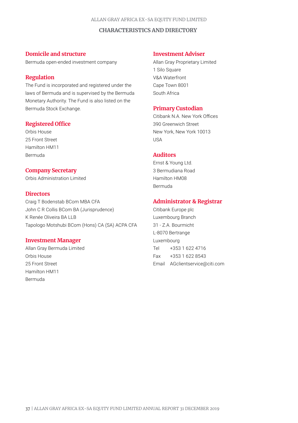#### **CHARACTERISTICS AND DIRECTORY**

### **Domicile and structure**

Bermuda open-ended investment company

# **Regulation**

The Fund is incorporated and registered under the laws of Bermuda and is supervised by the Bermuda Monetary Authority. The Fund is also listed on the Bermuda Stock Exchange.

### **Registered Office**

Orbis House 25 Front Street Hamilton HM11 Bermuda

# **Company Secretary**

Orbis Administration Limited

# **Directors**

Craig T Bodenstab BCom MBA CFA John C R Collis BCom BA (Jurisprudence) K Renée Oliveira BA LLB Tapologo Motshubi BCom (Hons) CA (SA) ACPA CFA

### **Investment Manager**

Allan Gray Bermuda Limited Orbis House 25 Front Street Hamilton HM11 Bermuda

# **Investment Adviser**

Allan Gray Proprietary Limited 1 Silo Square V&A Waterfront Cape Town 8001 South Africa

#### **Primary Custodian**

Citibank N.A. New York Offices 390 Greenwich Street New York, New York 10013 USA

# **Auditors**

Ernst & Young Ltd. 3 Bermudiana Road Hamilton HM08 Bermuda

# **Administrator & Registrar**

Citibank Europe plc Luxembourg Branch 31 - Z.A. Bourmicht L-8070 Bertrange Luxembourg Tel +353 1 622 4716 Fax +353 1 622 8543 Email AGclientservice@citi.com